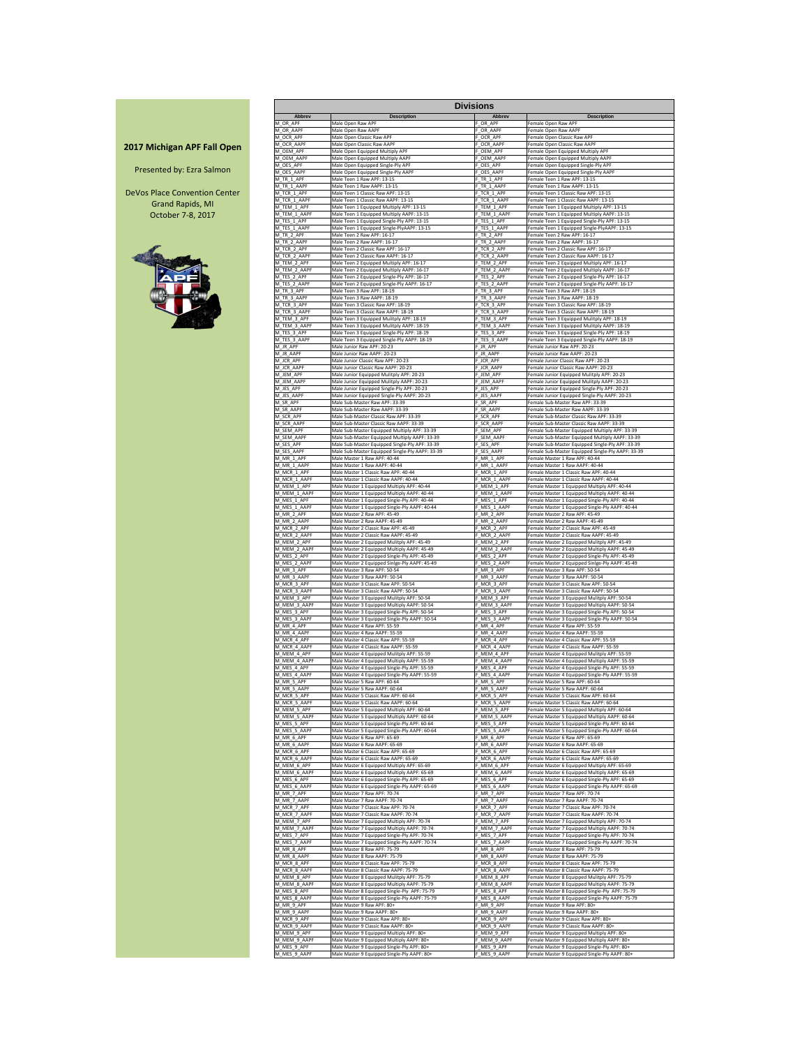|                                    |                             |                                                                                           | <b>Divisions</b>            |                                                                                                 |
|------------------------------------|-----------------------------|-------------------------------------------------------------------------------------------|-----------------------------|-------------------------------------------------------------------------------------------------|
|                                    | <b>Abbrev</b>               | <b>Description</b>                                                                        | <b>Abbrev</b>               | <b>Description</b>                                                                              |
|                                    | M OR APF                    | Male Open Raw APF                                                                         | OR APF                      | Female Open Raw APF                                                                             |
|                                    | M OR AAPF                   | Male Open Raw AAPF                                                                        | F_OR_AAPF                   | Female Open Raw AAPF                                                                            |
|                                    | M OCR APF                   | Male Open Classic Raw APF                                                                 | F_OCR_APF                   | Female Open Classic Raw APF                                                                     |
| <b>2017 Michigan APF Fall Open</b> | M OCR AAPF                  | Male Open Classic Raw AAPF                                                                | OCR AAPF                    | Female Open Classic Raw AAPF                                                                    |
|                                    | M OEM APF                   | Male Open Equipped Multiply APF                                                           | OEM APF                     | Female Open Equipped Multiply APF                                                               |
|                                    | VI OEM AAPF                 | Male Open Equipped Multiply AAPF                                                          | OEM AAPF                    | Female Open Equipped Multiply AAPF                                                              |
|                                    | M OES APF                   | Male Open Equipped Single-Ply APF                                                         | F OES APF                   | Female Open Equipped Single-Ply APF                                                             |
| Presented by: Ezra Salmon          | M_OES_AAPF<br>M TR 1 APF    | Male Open Equipped Single-Ply AAPF                                                        | OES_AAPF                    | Female Open Equipped Single-Ply AAPF<br>Female Teen 1 Raw APF: 13-15                            |
|                                    | M_TR_1_AAPF                 | Male Teen 1 Raw APF: 13-15<br>Male Teen 1 Raw AAPF: 13-15                                 | F TR 1 APF<br>F_TR_1_AAPF   | Female Teen 1 Raw AAPF: 13-15                                                                   |
| DeVos Place Convention Center      | M TCR 1 APF                 | Male Teen 1 Classic Raw APF: 13-15                                                        | F TCR 1 APF                 | Female Teen 1 Classic Raw APF: 13-15                                                            |
| <b>Grand Rapids, MI</b>            | M TCR 1 AAPF                | Male Teen 1 Classic Raw AAPF: 13-15                                                       | F TCR 1 AAPF                | Female Teen 1 Classic Raw AAPF: 13-15                                                           |
| October 7-8, 2017                  | M TEM 1 APF                 | Male Teen 1 Equipped Multiply APF: 13-15                                                  | F TEM 1 APF                 | Female Teen 1 Equipped Multiply APF: 13-15                                                      |
|                                    | M TEM 1 AAPF                | Male Teen 1 Equipped Multiply AAPF: 13-15                                                 | F TEM 1 AAPF                | Female Teen 1 Equipped Multiply AAPF: 13-15                                                     |
|                                    | M_TES_1_APF                 | Male Teen 1 Equipped Single-Ply APF: 13-15                                                | F_TES_1_APF                 | Female Teen 1 Equipped Single-Ply APF: 13-15                                                    |
|                                    | M_TES_1_AAPF                | Male Teen 1 Equipped Single-PlyAAPF: 13-15                                                | F_TES_1_AAPF                | Female Teen 1 Equipped Single-PlyAAPF: 13-15                                                    |
|                                    | M TR 2 APF                  | Male Teen 2 Raw APF: 16-17                                                                | F TR 2 APF                  | Female Teen 2 Raw APF: 16-17                                                                    |
|                                    | M TR 2 AAPF                 | Male Teen 2 Raw AAPF: 16-17                                                               | F_TR_2_AAPF                 | Female Teen 2 Raw AAPF: 16-17                                                                   |
|                                    | M_TCR_2_APF                 | Male Teen 2 Classic Raw APF: 16-17                                                        | F_TCR_2_APF                 | Female Teen 2 Classic Raw APF: 16-17                                                            |
|                                    | M_TCR_2_AAPF                | Male Teen 2 Classic Raw AAPF: 16-17                                                       | F_TCR_2_AAPF                | Female Teen 2 Classic Raw AAPF: 16-17                                                           |
|                                    | M_TEM_2_APF                 | Male Teen 2 Equipped Multiply APF: 16-17                                                  | F_TEM_2_APF                 | Female Teen 2 Equipped Multiply APF: 16-17                                                      |
|                                    | M TEM_2_AAPF                | Male Teen 2 Equipped Multiply AAPF: 16-17                                                 | F_TEM_2_AAPF                | Female Teen 2 Equipped Multiply AAPF: 16-17                                                     |
|                                    | M TES 2 APF                 | Male Teen 2 Equipped Single-Ply APF: 16-17                                                | F_TES_2_APF                 | Female Teen 2 Equipped Single-Ply APF: 16-17                                                    |
|                                    | M TES 2 AAPF                | Male Teen 2 Equipped Single-Ply AAPF: 16-17                                               | F TES 2 AAPF                | Female Teen 2 Equipped Single-Ply AAPF: 16-17                                                   |
|                                    | M TR 3 APF                  | Male Teen 3 Raw APF: 18-19                                                                | F TR 3 APF                  | Female Teen 3 Raw APF: 18-19                                                                    |
|                                    | M TR 3 AAPF                 | Male Teen 3 Raw AAPF: 18-19                                                               | F TR 3 AAPF                 | Female Teen 3 Raw AAPF: 18-19                                                                   |
|                                    | M_TCR_3_APF                 | Male Teen 3 Classic Raw APF: 18-19                                                        | F_TCR_3_APF                 | Female Teen 3 Classic Raw APF: 18-19                                                            |
|                                    | M_TCR_3_AAPF                | Male Teen 3 Classic Raw AAPF: 18-19                                                       | F_TCR_3_AAPF                | Female Teen 3 Classic Raw AAPF: 18-19                                                           |
|                                    | M_TEM_3_APF                 | Male Teen 3 Equipped Mulitply APF: 18-19                                                  | F_TEM_3_APF                 | Female Teen 3 Equipped Mulitply APF: 18-19                                                      |
|                                    | M TEM 3 AAPF                | Male Teen 3 Equipped Mulitply AAPF: 18-19                                                 | F_TEM_3_AAPF                | Female Teen 3 Equipped Mulitply AAPF: 18-19                                                     |
|                                    | M_TES_3_APF                 | Male Teen 3 Equipped Single-Ply APF: 18-19                                                | F_TES_3_APF                 | Female Teen 3 Equipped Single-Ply APF: 18-19                                                    |
|                                    | M TES 3 AAPF                | Male Teen 3 Equipped Single-Ply AAPF: 18-19                                               | F_TES_3_AAPF                | Female Teen 3 Equipped Single-Ply AAPF: 18-19                                                   |
|                                    | M_JR_APF                    | Male Junior Raw APF: 20-23                                                                | $F$ JR_APF                  | Female Junior Raw APF: 20-23                                                                    |
|                                    | M JR AAPF                   | Male Junior Raw AAPF: 20-23                                                               | F_JR_AAPF                   | Female Junior Raw AAPF: 20-23                                                                   |
|                                    | M_JCR_APF                   | Male Junior Classic Raw APF: 20-23                                                        | F_JCR_APF                   | Female Junior Classic Raw APF: 20-23                                                            |
|                                    | M_JCR_AAPF                  | Male Junior Classic Raw AAPF: 20-23                                                       | F_JCR_AAPF                  | Female Junior Classic Raw AAPF: 20-23                                                           |
|                                    | M JEM APF                   | Male Junior Equipped Mulitply APF: 20-23                                                  | F_JEM_APF                   | Female Junior Equipped Mulitply APF: 20-23                                                      |
|                                    | M JEM AAPF                  | Male Junior Equipped Mulitply AAPF: 20-23                                                 | F_JEM_AAPF                  | Female Junior Equipped Mulitply AAPF: 20-23                                                     |
|                                    | M_JES_APF                   | Male Junior Equipped Single-Ply APF: 20-23                                                | F_JES_APF                   | Female Junior Equipped Single-Ply APF: 20-23                                                    |
|                                    | M JES AAPF                  | Male Junior Equipped Single-Ply AAPF: 20-23                                               | F_JES_AAPF                  | Female Junior Equipped Single-Ply AAPF: 20-23                                                   |
|                                    | M SR APF                    | Male Sub-Master Raw APF: 33-39                                                            | F SR APF                    | Female Sub-Master Raw APF: 33-39                                                                |
|                                    | M SR AAPF                   | Male Sub-Master Raw AAPF: 33-39                                                           | F SR AAPF                   | Female Sub-Master Raw AAPF: 33-39                                                               |
|                                    | M_SCR_APF                   | Male Sub-Master Classic Raw APF: 33-39                                                    | F_SCR_APF                   | Female Sub-Master Classic Raw APF: 33-39                                                        |
|                                    | M SCR AAPF                  | Male Sub-Master Classic Raw AAPF: 33-39                                                   | F SCR AAPF                  | Female Sub-Master Classic Raw AAPF: 33-39                                                       |
|                                    | M_SEM_APF                   | Male Sub-Master Equipped Multiply APF: 33-39                                              | SEM_APF                     | Female Sub-Master Equipped Multiply APF: 33-39                                                  |
|                                    | M SEM AAPF                  | Male Sub-Master Equipped Multiply AAPF: 33-39                                             | : SEM AAPF                  | Female Sub-Master Equipped Multiply AAPF: 33-39                                                 |
|                                    | M_SES_APF                   | Male Sub-Master Equipped Single-Ply APF: 33-39                                            | SES_APF                     | Female Sub-Master Equipped Single-Ply APF: 33-39                                                |
|                                    | M_SES_AAPF                  | Male Sub-Master Equipped Single-Ply AAPF: 33-39                                           | F_SES_AAPF                  | Female Sub-Master Equipped Single-Ply AAPF: 33-39                                               |
|                                    | M_MR_1_APF                  | Male Master 1 Raw APF: 40-44                                                              | $F_MR_1APF$                 | Female Master 1 Raw APF: 40-44                                                                  |
|                                    | M_MR_1_AAPF                 | Male Master 1 Raw AAPF: 40-44                                                             | F_MR_1_AAPF                 | Female Master 1 Raw AAPF: 40-44                                                                 |
|                                    | M MCR_1_APF                 | Male Master 1 Classic Raw APF: 40-44                                                      | F_MCR_1_APF                 | Female Master 1 Classic Raw APF: 40-44                                                          |
|                                    | M_MCR_1_AAPF                | Male Master 1 Classic Raw AAPF: 40-44                                                     | F_MCR_1_AAPF                | Female Master 1 Classic Raw AAPF: 40-44                                                         |
|                                    | M_MEM_1_APF                 | Male Master 1 Equipped Multiply APF: 40-44                                                | F_MEM_1_APF                 | Female Master 1 Equipped Multiply APF: 40-44                                                    |
|                                    | M_MEM_1_AAPF                | Male Master 1 Equipped Multiply AAPF: 40-44                                               | F_MEM_1_AAPF                | Female Master 1 Equipped Multiply AAPF: 40-44                                                   |
|                                    | M_MES_1_APF                 | Male Master 1 Equipped Single-Ply APF: 40-44                                              | F_MES_1_APF                 | Female Master 1 Equipped Single-Ply APF: 40-44                                                  |
|                                    | M_MES_1_AAPF                | Male Master 1 Equipped Single-Ply AAPF: 40-44                                             | MES_1_AAPF                  | Female Master 1 Equipped Single-Ply AAPF: 40-44                                                 |
|                                    | M MR 2 APF                  | Male Master 2 Raw APF: 45-49                                                              | F MR 2 APF                  | Female Master 2 Raw APF: 45-49                                                                  |
|                                    | M_MR_2_AAPF                 | Male Master 2 Raw AAPF: 45-49                                                             | F_MR_2_AAPF                 | Female Master 2 Raw AAPF: 45-49                                                                 |
|                                    | M_MCR_2_APF                 | Male Master 2 Classic Raw APF: 45-49                                                      | F_MCR_2_APF                 | Female Master 2 Classic Raw APF: 45-49                                                          |
|                                    | M MCR 2 AAPF                | Male Master 2 Classic Raw AAPF: 45-49                                                     | F MCR 2 AAPF                | Female Master 2 Classic Raw AAPF: 45-49                                                         |
|                                    | M MEM 2 APF                 | Male Master 2 Equipped Mulitply APF: 45-49<br>Male Master 2 Equipped Multiply AAPF: 45-49 | F MEM 2 APF                 | Female Master 2 Equipped Mulitply APF: 45-49                                                    |
|                                    | M MEM 2 AAPF<br>M MES 2 APF | Male Master 2 Equipped Single-Ply APF: 45-49                                              | F MEM 2 AAPF<br>F_MES_2_APF | Female Master 2 Equipped Multiply AAPF: 45-49<br>Female Master 2 Equipped Single-Ply APF: 45-49 |
|                                    | M_MES_2_AAPF                | Male Master 2 Equipped Sinlge-Ply AAPF: 45-49                                             | F_MES_2_AAPF                | Female Master 2 Equipped Sinlge-Ply AAPF: 45-49                                                 |
|                                    | M_MR_3_APF                  | Male Master 3 Raw APF: 50-54                                                              | F_MR_3_APF                  | Female Master 3 Raw APF: 50-54                                                                  |
|                                    | M_MR_3_AAPF                 | Male Master 3 Raw AAPF: 50-54                                                             | F_MR_3_AAPF                 | Female Master 3 Raw AAPF: 50-54                                                                 |
|                                    | M_MCR_3_APF                 | Male Master 3 Classic Raw APF: 50-54                                                      | F_MCR_3_APF                 | Female Master 3 Classic Raw APF: 50-54                                                          |
|                                    | M_MCR_3_AAPF                | Male Master 3 Classic Raw AAPF: 50-54                                                     | F_MCR_3_AAPF                | Female Master 3 Classic Raw AAPF: 50-54                                                         |
|                                    | M_MEM_3_APF                 | Male Master 3 Equipped Mulitply APF: 50-54                                                | F_MEM_3_APF                 | Female Master 3 Equipped Mulitply APF: 50-54                                                    |
|                                    | M MEM 3 AAPF                | Male Master 3 Equipped Multiply AAPF: 50-54                                               | MEM 3 AAPF                  | Female Master 3 Equipped Multiply AAPF: 50-54                                                   |
|                                    | M MES 3 APF                 | Male Master 3 Equipped Single-Ply APF: 50-54                                              | F_MES_3_APF                 | Female Master 3 Equipped Single-Ply APF: 50-54                                                  |
|                                    | M MES 3 AAPF                | Male Master 3 Equipped Single-Ply AAPF: 50-54                                             | F_MES_3_AAPF                | Female Master 3 Equipped Single-Ply AAPF: 50-54                                                 |
|                                    | M MR 4 APF                  | Male Master 4 Raw APF: 55-59                                                              | F MR 4 APF                  | Female Master 4 Raw APF: 55-59                                                                  |
|                                    | M_MR_4_AAPF                 | Male Master 4 Raw AAPF: 55-59                                                             | F_MR_4_AAPF                 | Female Master 4 Raw AAPF: 55-59                                                                 |
|                                    | M MCR 4 APF                 | Male Master 4 Classic Raw APF: 55-59                                                      | F MCR 4 APF                 | Female Master 4 Classic Raw APF: 55-59                                                          |
|                                    | M MCR 4 AAPF                | Male Master 4 Classic Raw AAPF: 55-59                                                     | F_MCR_4_AAPF                | Female Master 4 Classic Raw AAPF: 55-59                                                         |
|                                    | M_MEM_4_APF                 | Male Master 4 Equipped Mulitply APF: 55-59                                                | F_MEM_4_APF                 | Female Master 4 Equipped Mulitply APF: 55-59                                                    |
|                                    | M MEM 4 AAPF                | Male Master 4 Equipped Multiply AAPF: 55-59                                               | MEM 4 AAPF                  | Female Master 4 Equipped Multiply AAPF: 55-59                                                   |
|                                    | M_MES_4_APF                 | Male Master 4 Equipped Single-Ply APF: 55-59                                              | F_MES_4_APF                 | Female Master 4 Equipped Single-Ply APF: 55-59                                                  |
|                                    | M_MES_4_AAPF                | Male Master 4 Equipped Single-Ply AAPF: 55-59                                             | MES_4_AAPF                  | Female Master 4 Equipped Single-Ply AAPF: 55-59                                                 |
|                                    | M MR 5 APF                  | Male Master 5 Raw APF: 60-64                                                              | F MR 5 APF                  | Female Master 5 Raw APF: 60-64                                                                  |
|                                    | M_MR_5_AAPF                 | Male Master 5 Raw AAPF: 60-64                                                             | F_MR_5_AAPF                 | Female Master 5 Raw AAPF: 60-64                                                                 |
|                                    | M MCR 5 APF                 | Male Master 5 Classic Raw APF: 60-64                                                      | F_MCR_5_APF                 | Female Master 5 Classic Raw APF: 60-64                                                          |
|                                    | M MCR 5 AAPF                | Male Master 5 Classic Raw AAPF: 60-64                                                     | F_MCR_5_AAPF                | Female Master 5 Classic Raw AAPF: 60-64                                                         |
|                                    | M_MEM_5_APF                 | Male Master 5 Equipped Multiply APF: 60-64                                                | F_MEM_5_APF                 | Female Master 5 Equipped Multiply APF: 60-64                                                    |
|                                    | M MEM_5_AAPF                | Male Master 5 Equipped Multiply AAPF: 60-64                                               | F_MEM_5_AAPF                | Female Master 5 Equipped Multiply AAPF: 60-64                                                   |
|                                    | M_MES_5_APF                 | Male Master 5 Equipped Single-Ply APF: 60-64                                              | F_MES_5_APF                 | Female Master 5 Equipped Single-Ply APF: 60-64                                                  |
|                                    | M_MES_5_AAPF                | Male Master 5 Equipped Single-Ply AAPF: 60-64                                             | F_MES_5_AAPF                | Female Master 5 Equipped Single-Ply AAPF: 60-64                                                 |
|                                    | M_MR_6_APF                  | Male Master 6 Raw APF: 65-69                                                              | F_MR_6_APF                  | Female Master 6 Raw APF: 65-69                                                                  |
|                                    | M MR 6 AAPF                 | Male Master 6 Raw AAPF: 65-69                                                             | F_MR_6_AAPF                 | Female Master 6 Raw AAPF: 65-69                                                                 |
|                                    | M_MCR_6_APF                 | Male Master 6 Classic Raw APF: 65-69<br>Male Master 6 Classic Raw AAPF: 65-69             | F_MCR_6_APF                 | Female Master 6 Classic Raw APF: 65-69                                                          |
|                                    | M_MCR_6_AAPF<br>M_MEM_6_APF | Male Master 6 Equipped Multiply APF: 65-69                                                | F_MCR_6_AAPF<br>F_MEM_6_APF | Female Master 6 Classic Raw AAPF: 65-69<br>Female Master 6 Equipped Multiply APF: 65-69         |
|                                    | M MEM 6 AAPF                | Male Master 6 Equipped Multiply AAPF: 65-69                                               | F MEM 6 AAPF                | Female Master 6 Equipped Multiply AAPF: 65-69                                                   |
|                                    | M_MES_6_APF                 | Male Master 6 Equipped Single-Ply APF: 65-69                                              | $-$ MES_6_APF               | Female Master 6 Equipped Single-Ply APF: 65-69                                                  |
|                                    | M MES 6 AAPF                | Male Master 6 Equipped Single-Ply AAPF: 65-69                                             | MES 6 AAPF                  | Female Master 6 Equipped Single-Ply AAPF: 65-69                                                 |
|                                    | M_MR_7_APF                  | Male Master 7 Raw APF: 70-74                                                              | F_MR_7_APF                  | Female Master 7 Raw APF: 70-74                                                                  |
|                                    | M_MR_7_AAPF                 | Male Master 7 Raw AAPF: 70-74                                                             | F_MR_7_AAPF                 | Female Master 7 Raw AAPF: 70-74                                                                 |
|                                    | M MCR 7 APF                 | Male Master 7 Classic Raw APF: 70-74                                                      | F_MCR_7_APF                 | Female Master 7 Classic Raw APF: 70-74                                                          |
|                                    | M MCR 7 AAPF                | Male Master 7 Classic Raw AAPF: 70-74                                                     | MCR 7 AAPF                  | Female Master 7 Classic Raw AAPF: 70-74                                                         |
|                                    | M_MEM_7_APF                 | Male Master 7 Equipped Multiply APF: 70-74                                                | MEM_7_APF                   | Female Master 7 Equipped Multiply APF: 70-74                                                    |
|                                    | M MEM 7 AAPF                | Male Master 7 Equipped Multiply AAPF: 70-74                                               | F MEM 7 AAPF                | Female Master 7 Equipped Multiply AAPF: 70-74                                                   |
|                                    | M_MES_7_APF                 | Male Master 7 Equipped Single-Ply APF: 70-74                                              | F_MES_7_APF                 | Female Master 7 Equipped Single-Ply APF: 70-74                                                  |
|                                    | M MES 7 AAPF                | Male Master 7 Equipped Single-Ply AAPF: 70-74                                             | F MES 7 AAPF                | Female Master 7 Equipped Single-Ply AAPF: 70-74                                                 |
|                                    | M_MR_8_APF<br>M MR 8 AAPF   | Male Master 8 Raw APF: 75-79<br>Male Master 8 Raw AAPF: 75-79                             | F_MR_8_APF                  | Female Master 8 Raw APF: 75-79<br>Female Master 8 Raw AAPF: 75-79                               |
|                                    | M MCR 8 APF                 | Male Master 8 Classic Raw APF: 75-79                                                      | F_MR_8_AAPF<br>F MCR 8 APF  | Female Master 8 Classic Raw APF: 75-79                                                          |
|                                    | M MCR 8 AAPF                | Male Master 8 Classic Raw AAPF: 75-79                                                     | MCR 8 AAPF                  | Female Master 8 Classic Raw AAPF: 75-79                                                         |
|                                    | M MEM 8 APF                 | Male Master 8 Equipped Mulitply APF: 75-79                                                | MEM 8 APF                   | Female Master 8 Equipped Mulitply APF: 75-79                                                    |
|                                    | M MEM 8 AAPF                | Male Master 8 Equipped Multiply AAPF: 75-79                                               | F MEM 8 AAPF                | Female Master 8 Equipped Multiply AAPF: 75-79                                                   |
|                                    | M MES 8 APF                 | Male Master 8 Equipped Single-Ply APF: 75-79                                              | $-MES_8$ APF                | Female Master 8 Equipped Single-Ply APF: 75-79                                                  |
|                                    | M_MES_8_AAPF                | Male Master 8 Equipped Single-Ply AAPF: 75-79                                             | MES_8_AAPF                  | Female Master 8 Equipped Single-Ply AAPF: 75-79                                                 |
|                                    | M_MR_9_APF                  | Male Master 9 Raw APF: 80+                                                                | F_MR_9_APF                  | Female Master 9 Raw APF: 80+                                                                    |
|                                    | M MR 9 AAPF                 | Male Master 9 Raw AAPF: 80+                                                               | F_MR_9_AAPF                 | Female Master 9 Raw AAPF: 80+                                                                   |
|                                    | M MCR 9 APF                 | Male Master 9 Classic Raw APF: 80+                                                        | F_MCR_9_APF                 | Female Master 9 Classic Raw APF: 80+                                                            |
|                                    | M MCR 9 AAPF                | Male Master 9 Classic Raw AAPF: 80+                                                       | MCR_9_AAPF                  | Female Master 9 Classic Raw AAPF: 80+                                                           |
|                                    | M_MEM_9_APF                 | Male Master 9 Equipped Multiply APF: 80+                                                  | F_MEM_9_APF                 | Female Master 9 Equipped Multiply APF: 80+                                                      |
|                                    | M MEM_9_AAPF                | Male Master 9 Equipped Multiply AAPF: 80+                                                 | F_MEM_9_AAPF                | Female Master 9 Equipped Multiply AAPF: 80+                                                     |
|                                    | M MES 9 APF                 | Male Master 9 Equipped Single-Ply APF: 80+                                                | F_MES_9_APF                 | Female Master 9 Equipped Single-Ply APF: 80+                                                    |
|                                    | M_MES_9_AAPF                | Male Master 9 Equipped Single-Ply AAPF: 80+                                               | F_MES_9_AAPF                | Female Master 9 Equipped Single-Ply AAPF: 80+                                                   |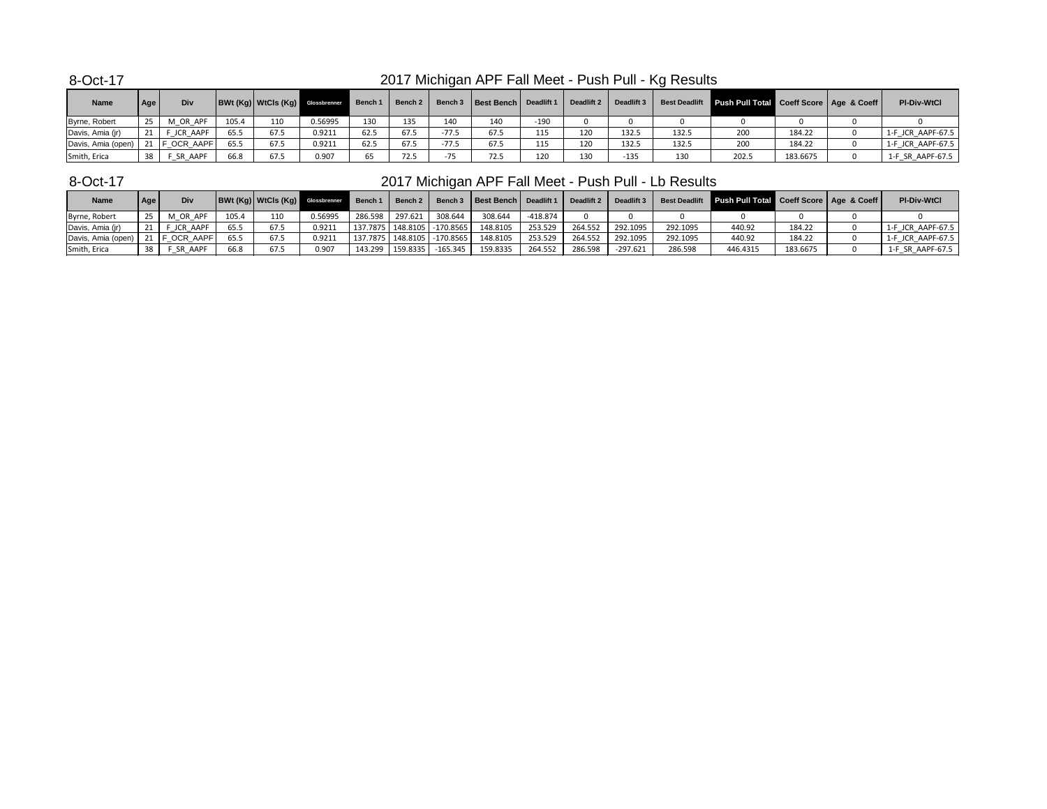| <b>Name</b>        | Age             | Div             |       | <b>BWt (Kg)   WtCls (Kg)   Glossbrenner</b> |         | Bench 1   Bench 2 |      |         | Bench 3   Best Bench   Deadlift 1 |        |     | Deadlift 2 Deadlift 3 |       | Best Deadlift Push Pull Total Coeff Score   Age & Coeff |          | <b>PI-Div-WtCl</b> |
|--------------------|-----------------|-----------------|-------|---------------------------------------------|---------|-------------------|------|---------|-----------------------------------|--------|-----|-----------------------|-------|---------------------------------------------------------|----------|--------------------|
| Byrne, Robert      | 25              | M OR APF        | 105.4 | 110                                         | 0.56995 | 130               | 135  | 140     | 140                               | $-190$ |     |                       |       |                                                         |          |                    |
| Davis, Amia (jr)   | 21              | F JCR AAPF      | 65.5  | 67.5                                        | 0.9211  | 62.5              | 67.5 | $-77.5$ | 67.5                              | 115    | 120 | 132.5                 | 132.5 | 200                                                     | 184.22   | 1-F JCR AAPF-67.5  |
| Davis, Amia (open) |                 | 21   F OCR AAPF | 65.5  | 67.5                                        | 0.9211  | 62.5              | 67.5 | $-77.5$ | 67.5                              | 115    | 120 | 132.5                 | 132.5 | 200                                                     | 184.22   | 1-F JCR AAPF-67.5  |
| Smith, Erica       | 38 <sub>1</sub> | F SR AAPF       | 66.8  | 67.5                                        | 0.907   | 65                | 72.5 | $-75$   | 72.5                              | 120    | 130 | $-135$                | 130   | 202.5                                                   | 183.6675 | 1-F SR AAPF-67.5   |

### 8-Oct-17

## 2017 Michigan APF Fall Meet - Push Pull - Lb Results

| <b>Name</b>        | Age | Div        |       |      | <b>BWt (Kg) WtCls (Kg)</b> Glossbrenner | <b>1</b> Bench 1 | <b>Bench 2</b> |                                 | Bench 3   Best Bench   Deadlift 1 |          | Deadlift 2 | Deadlift 3 |          | Best Deadlift Push Pull Total Coeff Score   Age & Coeff |          | <b>PI-Div-WtCl</b> |
|--------------------|-----|------------|-------|------|-----------------------------------------|------------------|----------------|---------------------------------|-----------------------------------|----------|------------|------------|----------|---------------------------------------------------------|----------|--------------------|
| Byrne, Robert      |     | M OR APF   | 105.4 | 110  | 0.56995                                 | 286.598 297.621  |                | 308.644                         | 308.644                           | -418.874 |            |            |          |                                                         |          |                    |
| Davis, Amia (jr)   |     | JCR AAPF   | 65.5  | 67.5 | 0.9211                                  |                  |                | 137.7875   148.8105   -170.8565 | 148.8105                          | 253.529  | 264.552    | 292.1095   | 292.1095 | 440.92                                                  | 184.22   | 1-F JCR AAPF-67.5  |
| Davis, Amia (open) |     | F OCR AAPF | 65.5  | 67.5 | 0.9211                                  |                  |                | 137.7875   148.8105   -170.8565 | 148.8105                          | 253.529  | 264.552    | 292.1095   | 292.1095 | 440.92                                                  | 184.22   | 1-F JCR AAPF-67.5  |
| Smith, Erica       | 38  | : SR AAPF  | 66.8  | 67.5 | 0.907                                   | 143.299 159.8335 |                | $-165.345$                      | 159.8335                          | 264.552  | 286.598    | -297.621   | 286.598  | 446.4315                                                | 183.6675 | 1-F SR AAPF-67.5   |

## 2017 Michigan APF Fall Meet - Push Pull - Kg Results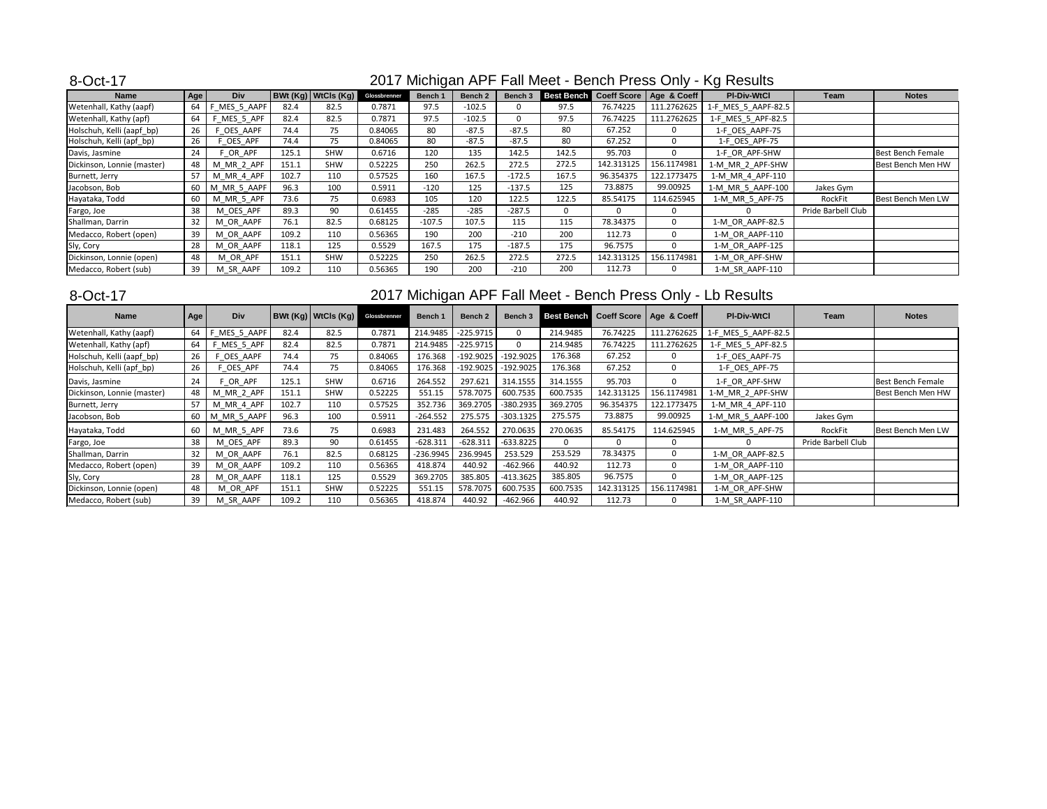| <b>Name</b>                | Age    | <b>Div</b>  |       | BWt(Kg) WtCls(Kg) | Glossbrenner | Bench 1  | Bench 2  | Bench 3  | Best Bench |            | Coeff Score   Age & Coeff | <b>PI-Div-WtCl</b>  | Team               | <b>Notes</b>             |
|----------------------------|--------|-------------|-------|-------------------|--------------|----------|----------|----------|------------|------------|---------------------------|---------------------|--------------------|--------------------------|
| Wetenhall, Kathy (aapf)    | $64$ F | MES_5_AAPF  | 82.4  | 82.5              | 0.7871       | 97.5     | $-102.5$ |          | 97.5       | 76.74225   | 111.2762625               | 1-F MES 5 AAPF-82.5 |                    |                          |
| Wetenhall, Kathy (apf)     | 64     | F_MES_5_APF | 82.4  | 82.5              | 0.7871       | 97.5     | $-102.5$ |          | 97.5       | 76.74225   | 111.2762625               | 1-F_MES_5_APF-82.5  |                    |                          |
| Holschuh, Kelli (aapf_bp)  | 26     | OES AAPF    | 74.4  | 75                | 0.84065      | 80       | $-87.5$  | $-87.5$  | 80         | 67.252     |                           | 1-F OES AAPF-75     |                    |                          |
| Holschuh, Kelli (apf_bp)   | 26     | F_OES_APF   | 74.4  | 75                | 0.84065      | 80       | $-87.5$  | $-87.5$  | 80         | 67.252     |                           | 1-F_OES_APF-75      |                    |                          |
| Davis, Jasmine             | 24     | F OR APF    | 125.1 | <b>SHW</b>        | 0.6716       | 120      | 135      | 142.5    | 142.5      | 95.703     |                           | 1-F OR APF-SHW      |                    | Best Bench Female        |
| Dickinson, Lonnie (master) | 48     | M_MR_2_APF  | 151.1 | SHW               | 0.52225      | 250      | 262.5    | 272.5    | 272.5      | 142.313125 | 156.1174981               | 1-M MR 2 APF-SHW    |                    | <b>Best Bench Men HW</b> |
| Burnett, Jerry             | 57     | M_MR_4_APF  | 102.7 | 110               | 0.57525      | 160      | 167.5    | $-172.5$ | 167.5      | 96.354375  | 122.1773475               | 1-M MR 4 APF-110    |                    |                          |
| Jacobson, Bob              | 60     | M_MR_5_AAPF | 96.3  | 100               | 0.5911       | $-120$   | 125      | $-137.5$ | 125        | 73.8875    | 99.00925                  | 1-M MR 5 AAPF-100   | Jakes Gym          |                          |
| Hayataka, Todd             | 60     | M MR 5 APF  | 73.6  | 75                | 0.6983       | 105      | 120      | 122.5    | 122.5      | 85.54175   | 114.625945                | 1-M MR 5 APF-75     | RockFit            | Best Bench Men LW        |
| Fargo, Joe                 | 38     | M OES APF   | 89.3  | 90                | 0.61455      | $-285$   | $-285$   | $-287.5$ | 0          | $\Omega$   |                           |                     | Pride Barbell Club |                          |
| Shallman, Darrin           | 32     | M OR AAPF   | 76.1  | 82.5              | 0.68125      | $-107.5$ | 107.5    | 115      | 115        | 78.34375   |                           | 1-M OR AAPF-82.5    |                    |                          |
| Medacco, Robert (open)     | 39     | M OR AAPF   | 109.2 | 110               | 0.56365      | 190      | 200      | $-210$   | 200        | 112.73     |                           | 1-M OR AAPF-110     |                    |                          |
| Sly, Cory                  | 28     | M OR AAPF   | 118.1 | 125               | 0.5529       | 167.5    | 175      | $-187.5$ | 175        | 96.7575    |                           | 1-M OR AAPF-125     |                    |                          |
| Dickinson, Lonnie (open)   | 48     | M_OR_APF    | 151.1 | <b>SHW</b>        | 0.52225      | 250      | 262.5    | 272.5    | 272.5      | 142.313125 | 156.1174981               | 1-M_OR_APF-SHW      |                    |                          |
| Medacco, Robert (sub)      | 39     | M SR AAPF   | 109.2 | 110               | 0.56365      | 190      | 200      | $-210$   | 200        | 112.73     |                           | 1-M SR AAPF-110     |                    |                          |

#### 8-Oct-17

## 2017 Michigan APF Fall Meet - Bench Press Only - Lb Results

| <b>Name</b>                | Age | Div            |       | BWt(Kg) WtCls(Kg) | Glossbrenner | <b>Bench 1</b> | Bench <sub>2</sub> | Bench 3      | Best Bench |            | Coeff Score   Age & Coeff | <b>PI-Div-WtCl</b>  | Team               | <b>Notes</b>      |
|----------------------------|-----|----------------|-------|-------------------|--------------|----------------|--------------------|--------------|------------|------------|---------------------------|---------------------|--------------------|-------------------|
| Wetenhall, Kathy (aapf)    | 64  | _MES_5_AAPF    | 82.4  | 82.5              | 0.7871       | 214.9485       | $-225.9715$        | $\mathbf{0}$ | 214.9485   | 76.74225   | 111.2762625               | 1-F_MES_5_AAPF-82.5 |                    |                   |
| Wetenhall, Kathy (apf)     | 64  | MES_5_APF      | 82.4  | 82.5              | 0.7871       | 214.9485       | $-225.9715$        | $\Omega$     | 214.9485   | 76.74225   | 111.2762625               | 1-F MES 5 APF-82.5  |                    |                   |
| Holschuh, Kelli (aapf_bp)  | 26  | F OES AAPF     | 74.4  | 75                | 0.84065      | 176.368        | $-192.9025$        | $-192.9025$  | 176.368    | 67.252     |                           | 1-F OES AAPF-75     |                    |                   |
| Holschuh, Kelli (apf_bp)   | 26  | OES_APF        | 74.4  | 75                | 0.84065      | 176.368        | $-192.9025$        | $-192.9025$  | 176.368    | 67.252     | $\Omega$                  | 1-F_OES_APF-75      |                    |                   |
| Davis, Jasmine             | 24  | F OR APF       | 125.1 | <b>SHW</b>        | 0.6716       | 264.552        | 297.621            | 314.1555     | 314.1555   | 95.703     |                           | 1-F OR APF-SHW      |                    | Best Bench Female |
| Dickinson, Lonnie (master) | 48  | M_MR_2_APF     | 151.1 | <b>SHW</b>        | 0.52225      | 551.15         | 578.7075           | 600.7535     | 600.7535   | 142.313125 | 156.1174981               | 1-M_MR_2_APF-SHW    |                    | Best Bench Men HW |
| Burnett, Jerry             | 57  | M_MR_4_APF     | 102.7 | 110               | 0.57525      | 352.736        | 369.2705           | -380.2935    | 369.2705   | 96.354375  | 122.1773475               | 1-M MR 4 APF-110    |                    |                   |
| Jacobson, Bob              | 60  | MR 5 AAPF<br>M | 96.3  | 100               | 0.5911       | $-264.552$     | 275.575            | $-303.1325$  | 275.575    | 73.8875    | 99.00925                  | 1-M MR 5 AAPF-100   | Jakes Gym          |                   |
| Hayataka, Todd             | 60  | M MR 5 APF     | 73.6  | 75                | 0.6983       | 231.483        | 264.552            | 270.0635     | 270.0635   | 85.54175   | 114.625945                | 1-M MR 5 APF-75     | RockFit            | Best Bench Men LW |
| Fargo, Joe                 | 38  | M OES APF      | 89.3  | 90                | 0.61455      | $-628.311$     | $-628.311$         | $-633.8225$  |            | 0          |                           |                     | Pride Barbell Club |                   |
| Shallman, Darrin           | 32  | M OR AAPF      | 76.1  | 82.5              | 0.68125      | $-236.9945$    | 236.9945           | 253.529      | 253.529    | 78.34375   |                           | 1-M_OR_AAPF-82.5    |                    |                   |
| Medacco, Robert (open)     | 39  | M OR AAPF      | 109.2 | 110               | 0.56365      | 418.874        | 440.92             | $-462.966$   | 440.92     | 112.73     |                           | 1-M OR AAPF-110     |                    |                   |
| Sly, Cory                  | 28  | M OR AAPF      | 118.1 | 125               | 0.5529       | 369.2705       | 385.805            | $-413.3625$  | 385.805    | 96.7575    |                           | 1-M OR AAPF-125     |                    |                   |
| Dickinson, Lonnie (open)   | 48  | M_OR_APF       | 151.1 | <b>SHW</b>        | 0.52225      | 551.15         | 578.7075           | 600.7535     | 600.7535   | 142.313125 | 156.1174981               | 1-M OR APF-SHW      |                    |                   |
| Medacco, Robert (sub)      | 39  | M SR AAPF      | 109.2 | 110               | 0.56365      | 418.874        | 440.92             | $-462.966$   | 440.92     | 112.73     |                           | 1-M_SR_AAPF-110     |                    |                   |

## 2017 Michigan APF Fall Meet - Bench Press Only - Kg Results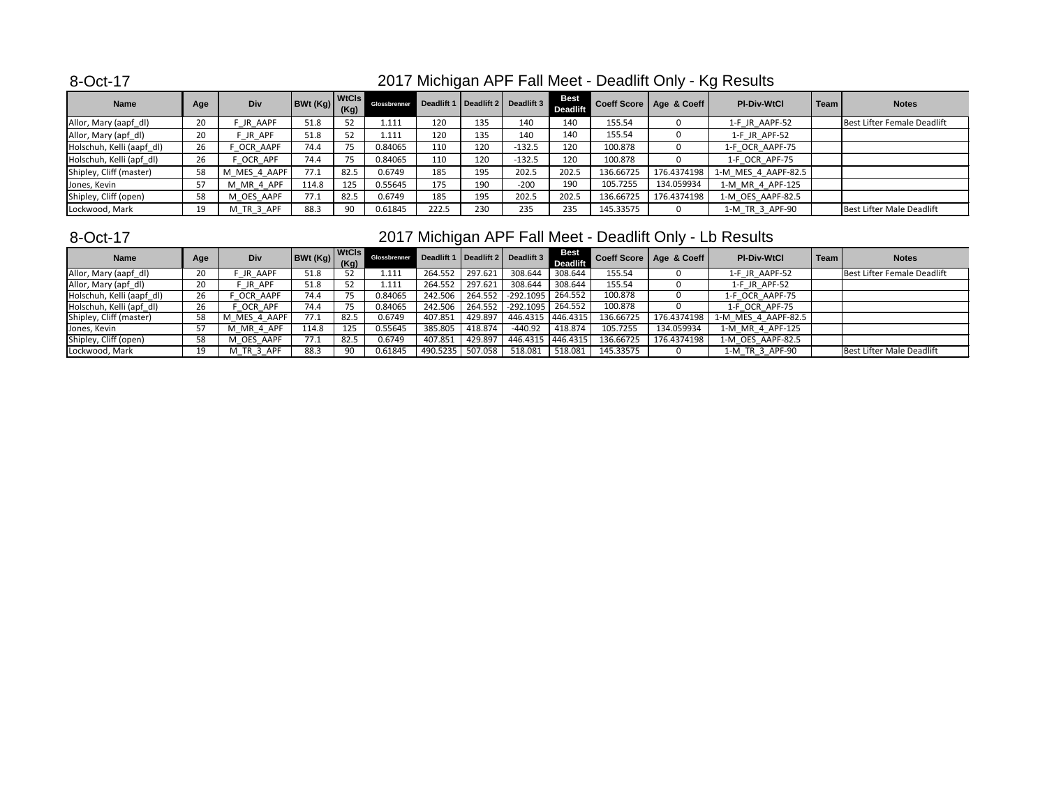| <b>Name</b>               | Age | Div            | BWt(Kg) | <b>WtCls</b><br>(Kg) | Glossbrenner |       |     | Deadlift 1   Deadlift 2   Deadlift 3 | <b>Best</b><br><b>Deadlift</b> |           | Coeff Score   Age & Coeff | <b>PI-Div-WtCl</b>  | Team | <b>Notes</b>                     |
|---------------------------|-----|----------------|---------|----------------------|--------------|-------|-----|--------------------------------------|--------------------------------|-----------|---------------------------|---------------------|------|----------------------------------|
| Allor, Mary (aapf_dl)     | 20  | JR AAPF        | 51.8    | 52                   | 1.111        | 120   | 135 | 140                                  | 140                            | 155.54    |                           | 1-F JR AAPF-52      |      | Best Lifter Female Deadlift      |
| Allor, Mary (apf_dl)      | 20  | JR_APF         | 51.8    | 52                   | 1.111        | 120   | 135 | 140                                  | 140                            | 155.54    |                           | 1-F_JR_APF-52       |      |                                  |
| Holschuh, Kelli (aapf_dl) | 26  | OCR AAPF       | 74.4    | 75                   | 0.84065      | 110   | 120 | $-132.5$                             | 120                            | 100.878   |                           | 1-F OCR AAPF-75     |      |                                  |
| Holschuh, Kelli (apf_dl)  | 26  | OCR_APF        | 74.4    |                      | 0.84065      | 110   | 120 | $-132.5$                             | 120                            | 100.878   |                           | 1-F_OCR_APF-75      |      |                                  |
| Shipley, Cliff (master)   | 58  | M_MES_4_AAPF   | 77.1    | 82.5                 | 0.6749       | 185   | 195 | 202.5                                | 202.5                          | 136.66725 | 176.4374198               | 1-M MES 4 AAPF-82.5 |      |                                  |
| Jones, Kevin              | 57  | M_MR_4_APF     | 114.8   | 125                  | 0.55645      | 175   | 190 | $-200$                               | 190                            | 105.7255  | 134.059934                | 1-M_MR_4_APF-125    |      |                                  |
| Shipley, Cliff (open)     | 58  | M OES AAPF     | 77.1    | 82.5                 | 0.6749       | 185   | 195 | 202.5                                | 202.5                          | 136.66725 | 176.4374198               | 1-M OES AAPF-82.5   |      |                                  |
| Lockwood, Mark            | 19  | $\_TR\_3\_APF$ | 88.3    | 90                   | 0.61845      | 222.5 | 230 | 235                                  | 235                            | 145.33575 |                           | 1-M_TR_3_APF-90     |      | <b>Best Lifter Male Deadlift</b> |

### 8-Oct-17

# 2017 Michigan APF Fall Meet - Deadlift Only - Lb Results

| <b>Name</b>               | Age | <b>Div</b>              | <b>BWt (Kg)</b> (Kg) | <b>WtCls</b> | Glossbrenner |          |         | Deadlift 1   Deadlift 2   Deadlift 3 | Best<br><b>Deadlift</b> |                       | Coeff Score   Age & Coeff | <b>PI-Div-WtCl</b>  | Team | <b>Notes</b>                |
|---------------------------|-----|-------------------------|----------------------|--------------|--------------|----------|---------|--------------------------------------|-------------------------|-----------------------|---------------------------|---------------------|------|-----------------------------|
| Allor, Mary (aapf_dl)     | 20  | JR AAPF                 | 51.8                 |              | 1.111        | 264.552  | 297.621 | 308.644                              | 308.644                 | 155.54                |                           | 1-F JR AAPF-52      |      | Best Lifter Female Deadlift |
| Allor, Mary (apf_dl)      | 20  | JR APF                  | 51.8                 |              | 1.111        | 264.552  | 297.621 | 308.644                              | 308.644                 | 155.54                |                           | 1-F JR APF-52       |      |                             |
| Holschuh, Kelli (aapf_dl) | 26  | OCR AAPF                | 74.4                 |              | 0.84065      | 242.506  | 264.552 | $-292.1095$                          | 264.552                 | 100.878               |                           | 1-F OCR AAPF-75     |      |                             |
| Holschuh, Kelli (apf_dl)  | 26  | OCR_APF                 | 74.4                 |              | 0.84065      | 242.506  | 264.552 | $-292.1095$ 264.552                  |                         | 100.878               |                           | 1-F OCR APF-75      |      |                             |
| Shipley, Cliff (master)   | 58  | M MES 4 AAPF            | 77.1                 | 82.5         | 0.6749       | 407.851  | 429.897 | 446.4315 446.4315                    |                         | 136.66725             | 176.4374198               | 1-M MES 4 AAPF-82.5 |      |                             |
| Jones, Kevin              | 57  | M_MR_4_APF              | 114.8                | 125          | 0.55645      | 385.805  | 418.874 | $-440.92$                            | 418.874                 | $105.\overline{7255}$ | 134.059934                | 1-M MR 4 APF-125    |      |                             |
| Shipley, Cliff (open)     | 58  | M_OES_AAPF              | 77.1                 | 82.5         | 0.6749       | 407.851  | 429.897 | 446.4315 446.4315                    |                         | 136.66725             | 176.4374198               | 1-M OES AAPF-82.5   |      |                             |
| Lockwood, Mark            | 19  | $M_TR_3$ <sup>APF</sup> | 88.3                 | -90          | 0.61845      | 490.5235 | 507.058 | 518.081                              | 518.081                 | 145.33575             |                           | 1-M_TR_3_APF-90     |      | Best Lifter Male Deadlift   |

### 2017 Michigan APF Fall Meet - Deadlift Only - Kg Results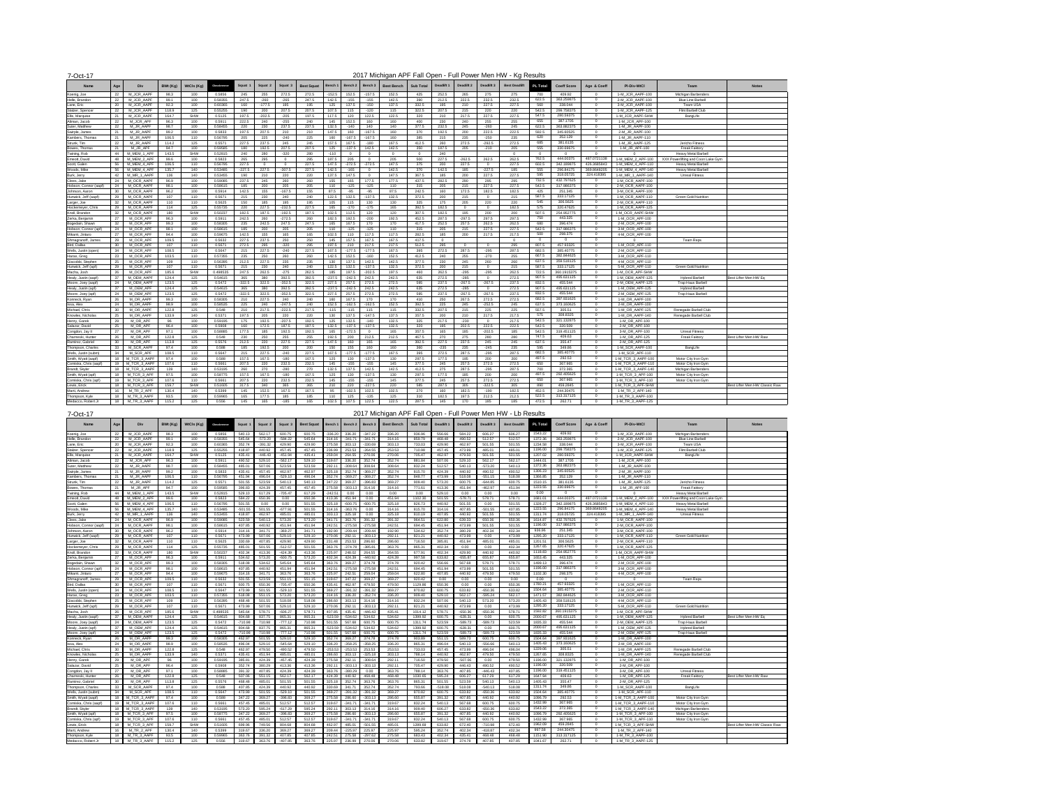| $\sim$ $\sim$ $\sim$ $\sim$ |      |                         |          |            |              |                 |              |          |                   |           |          |                |                   |                  |            |            |                |                        |       |                    |             |                    |                                                   |                                |
|-----------------------------|------|-------------------------|----------|------------|--------------|-----------------|--------------|----------|-------------------|-----------|----------|----------------|-------------------|------------------|------------|------------|----------------|------------------------|-------|--------------------|-------------|--------------------|---------------------------------------------------|--------------------------------|
| <b>Name</b>                 | Age  | Div                     | BWt (Kg) | WtCls (Kg) | ilossbrenner | Squat 1         | Squat 2      | Squat 3  | <b>Best Squat</b> | ∣ Bench 1 | Bench 2  | │ Bench 3      | <b>Best Bench</b> | <b>Sub Total</b> | Deadlift 1 | Deadlift 2 | Deadlift 3     | Best Deadlift PL Total |       | <b>Coeff Score</b> | Age & Coeff | <b>PI-Div-WtCl</b> | Team                                              | <b>Notes</b>                   |
| Koenig, Joe                 |      | M_JCR_AAPF              | 98.3     | 100        | 0.5856       | 245             | 255          | 272.5    | 272.5             | 152.5     | 152.5    | $-157.5$       | 152.5             | 425              | 252.5      | 265        | 275            | 275                    | 700   | 409.92             |             | 1-M_JCR_AAPF-100   | Michigan Barbenders                               |                                |
| Helle, Brandon              | 22   | M_JCR_AAPF              | 99.1     | 100        | 0.58355      | 247.5           | $-260$       | $-265$   | 247.5             | 142.5     | $-155$   | $-155$         | 142.5             | 390              | 212.5      | 222.5      | 232.5          | 232.5                  | 622.5 | 363.259875         |             | 2-M_JCR_AAPF-100   | <b>Blue Line Barbell</b>                          |                                |
| Lane, Eric                  | 20   | M_JCR_AAPF              | 92.3     | 100        | 0.60365      | 160             | $-177.5$     | 195      | 195               | 125       | 137.5    | -150           | 137.5             | 332.5            | 195        | 210        | 227.5          | 227.5                  | 560   | 338.044            |             | 3-M JCR AAPF-100   | Team USA                                          |                                |
| Stalzer, Spencer            | 22   | M_JCR_AAPF              | 118.9    | 125        | 0.55255      | 190             | 200          | 207.5    | 207.5             | 107.5     | 115      | $-120$         | 115               | 322.5            | 207.5      | 215        | 220            | 220                    | 542.5 | 299.758375         |             | 1-M JCR AAPF-125   | Flint Barbell Club                                |                                |
| Ellis, Marquise             |      | M_JCR_AAPF              | 164.7    | <b>SHW</b> | 0.5125       | 197.5           | $-202.5$     | $-205$   | 197.5             | 117.5     |          | 122.5          | 122.5             | 320              | 210        | 217.5      | 227.5          | 227.5                  | 547.5 | 280.59375          |             | 1-M JCR AAPF-SHW   | BangLife                                          |                                |
| Altman, Jacob               | 22   | M_JCR_APF               | 96.3     | 100        | 0.5911       | 222.5           | 240          | $-255$   | 240               | 145       | 152.5    | 160            | 160               | 400              | 230        | 240        | 255            | 255                    | 655   | 387.1705           |             | 1-M JCR APF-100    |                                                   |                                |
| Suter, Matthew              |      | M JR AAPF               | 98.7     | 100        | 0.58455      | 220             | 230          | 237.5    | 237.5             | 132.5     | $-140$   | 140            | 140               | 377.5            | 232.5      | 245        | -260           | 245                    | 622.5 | 363.882375         |             | 1-M JR AAPF-100    |                                                   |                                |
| Swirple, James              |      | M JR AAPF               | 99.2     | 100        | 0.5833       | 197.5           | 207.5        | 210      | 210               | 147.5     | 160      | $-167.5$       | 160               | 370              | 192.5      | 200        | 222.5          | 222.5                  | 592.5 | 345.60525          |             | 2-M JR AAPF-100    |                                                   |                                |
| Kambers, Thomas             |      | M_JR_AAPF               | 106.5    | 110        | 0.56795      | 205             | 225          | -240     | 225               | 160       | $-167.5$ | $-167.5$       | 160               | 385              | 215        | 235        | $-250$         | 235                    | 620   | 352.129            | - 0         | 1-M_JR_AAPF-110    |                                                   |                                |
| Strunk, Tim                 | 22   | M_JR_AAPF               | 114.2    | 125        | 0.5571       | 227.5           | 237.5        | 245      | 245               | 157.5     | 167.5    | $-180$         | 167.5             | 412.5            | 260        | 272.5      | $-292.5$       | 272.5                  | 685   | 381.6135           |             | 1-M JR AAPF-125    | Jericho Fitness                                   |                                |
| Bowes, Thomas               |      | M JR APF                | 94.7     | 100        | 0.59585      | 180             | 192.5        | 207.5    | 207.5             | 125       | $-137.5$ | 142.5          | 142.5             | 350              | 187.5      | 205        | $-210$         | 205                    | 555   | 330.69675          |             | 1-M JR APF-100     | <b>Freak Faktory</b>                              |                                |
| Twining, Rob                |      | M MEM 1 APF             | 143.5    | SHW        | 0.52815      | 240             | 280          | -320     | 280               | $-110$    | $\Omega$ |                |                   |                  | 240        |            |                |                        |       | $\overline{0}$     |             |                    | <b>Heavy Metal Barbell</b>                        |                                |
| Emeott, David               | 48   | M MEM 2 APF             | 99.6     | 100        | 0.5823       | 265             | 295          |          | 295               | 187.5     | 205      |                | 205               | 500              | 227.5      | $-262.5$   | 262.5          | 262.5                  | 762.5 | 444.00375          | 487.0721138 | 1-M MEM 2 APF-100  | XXX Powerlifting and Coon Lake Gym                |                                |
| Scott, Galen                | 56   | M MEM 4 APF             | 106.5    | 110        | 0.56795      | 227.5           |              |          | 227.5             | 147.5     | $-272.5$ | $-272.5$       | 147.5             | 375              | 200        | 227.5      |                | 227.5                  | 602.5 | 342.189875         | 426.3685843 | 1-M MEM 4 APF-110  | <b>Heavy Metal Barbell</b>                        |                                |
| Woods, Mike                 | 56   | M MEM 4 APF             | 135.7    | 140        | 0.53485      | $-227.5$        | 227.5        | $-307.5$ | 227.5             | 142.5     | $-165$   |                | 142.5             | 370              | 142.5      | 185        | $-227.5$       | 185                    | 555   | 296.84175          | 369.8648205 | 1-M MEM 4 APF-140  | <b>Heavy Metal Barbell</b>                        |                                |
| Burk, Jerry                 | 42   | M MR 1 AAPF             | 136      | 140        | 0.53455      | 190             | 210          | 220      | 220               | 137.5     | 147.5    |                | 147.5             | 367.5            | 185        | 200        | 227.5          | 227.5                  | 595   | 318.05725          | 324.418395  | 1-M MR 1 AAPF-140  | <b>Unreal Fitness</b>                             |                                |
| Clees, Jake                 | 24   | M OCR AAPF              | 96.9     | 100        | 0.59085      | 237.5           | 245          | 260      | 260               | 155       | 165      | 177.5          | 177.5             | 437.5            | 282.5      | 290        | 295            | 295                    | 732.5 | 432.797625         |             | 1-M OCR AAPF-100   |                                                   |                                |
| Hobson, Connor (aapf)       |      | M_OCR_AAPF              | 98.1     | 100        | 0.58615      | 185             | 200          | 205      | 205               | 110       | $-125$   | $-125$         | 110               | 315              | 205        | 215        | 227.5          | 227.5                  | 542.5 | 317.986375         |             | 2-M OCR AAPF-100   |                                                   |                                |
| Johnson, Aaron              |      | M_OCR_AAPF              | 96.2     | 100        | 0.5914       | 142.5           | 155          | $-167.5$ | 155               | 87.5      | $-95$    | -95            | 87.5              | 242.5            | 160        | 172.5      | 182.5          | 182.5                  | -425  | 251.345            |             | 3-M_OCR_AAPF-100   |                                                   |                                |
| Hunwick, Jeff (aapf)        | 29   | M OCR AAPF              | 107      | 110        | 0.5671       | 215             | 230          | 240      | 240               | 122.5     | 132.5    | $-137.5$       | 132.5             | 372.5            | 200        | 215        |                | 215                    | 587.5 | 333.17125          |             | 1-M OCR AAPF-110   | <b>Green Gold Nutrition</b>                       |                                |
| Larger, Joe                 |      | M_OCR_AAPF              |          | 110        | 0.5625       | 150             |              | 195      | 195               | 105       | 115      | 130            | 130               | 325              | 175        | 205        | 220            | 220                    | 545   | 306.5625           |             | 2-M OCR AAPF-110   |                                                   |                                |
| Hockemeyer, Chris           | 29   | M_OCR_AAPF              | 114      | 125        | 0.55735      | 220             | 227.5        | $-232.5$ | 227.5             | 165       | $-170$   | $-175$         | 165               | 392.5            | 182.5      |            |                | 182.5                  | 575   | 320.47625          |             | 1-M OCR AAPF-125   |                                                   |                                |
| Knoll, Brandon              |      | M_OCR_AAPF              | 180      | SHW        | 0.50237      | 182.5           | 187.5        | $-192.5$ | 187.5             | 102.5     | 112.5    | 120            | 120               | 307.5            | 182.5      | 195        | 200            | 200                    | 507.5 | 254.952775         |             | 1-M_OCR_AAPF-SHW   |                                                   |                                |
| Zerka, Benjamin             |      | M_OCR_APF               | 96.3     | 100        | 0.5911       | 242.5           | 260          | $-272.5$ | 260               | 182.5     | 192.5    | $-200$         | 192.5             | 452.5            | 287.5      | $-297.5$   | 297.5          | 297.5                  | 750   | 443.325            |             | 1-M OCR APF-100    |                                                   |                                |
| Bogedain, Shawn             |      | M OCR APF               | 99.3     | 100        | 0.58305      | 235             | 242.5        | 247.5    | 247.5             | 165       | 167.5    | 170            | 170               | 417.5            | 252.5      | 257.5      | 262.5          | 262.5                  | 680   | 396.474            |             | 2-M OCR APF-100    |                                                   |                                |
| Hobson, Connor (apf)        |      | M_OCR_APF               | 98.1     | 100        | 0.58615      | 185             | 200          | 205      | 205               | 110       | $-125$   | $-125$         | 110               | 315              | 205        | 215        | 227.5          | 227.5                  | 542.5 | 317.986375         |             | 3-M_OCR_APF-100    |                                                   |                                |
| Mikami, Jintaro             |      | M OCR APF               | 94.4     | 100        | 0.59675      | 142.5           | 155          | 165      | 165               | 102.5     | 110      | 117.5          | 117.5             | 282.5            | 185        | 200        | 217.5          | 217.5                  | 500   | 298.375            |             | 4-M_OCR_APF-100    |                                                   |                                |
| Shmagranoff, James          |      | M OCR APF               | 109.5    | 110        | 0.5632       | 227.5           | 237.5        | 250      | 250               | 145       | 157.5    | 167.5          | 167.5             | 417.5            |            |            |                |                        |       | $\Omega$           |             |                    | Team Reps                                         |                                |
| Bird, Dallas                | 30   | M OCR APF               | 107      | 110        | 0.5671       | 272.5           | 295          | $-320$   | 295               | 197.5     | 210      | 217.5          | 217.5             | 512.5            | 295        |            |                | 295                    | 807.5 | 457.93325          |             | 1-M OCR APF-110    |                                                   |                                |
| Wells, Justin (open)        |      | M OCR APF               | 108.5    | 110        | 0.5647       | 215             | 227.5        | $-240$   | 227.5             | 167.5     | $-177.5$ | $-177.5$       | 167.5             | 395              | 272.5      | 287.5      | $-295$         | 287.5                  | 682.5 | 385.40775          |             | 2-M OCR APF-110    |                                                   |                                |
| Haras, Greg                 | 23   | M_OCR_APF               | 103.5    | 110        | 0.57355      | 235             | 250          | 260      | 260               | 142.5     | 152.5    | $-160$         | 152.5             | 412.5            | 240        | 255        | $-270$         | 255                    | 667.5 | 382.844625         |             | 3-M OCR APF-110    |                                                   |                                |
| Giacobbi, Stepher           | 25   | M OCR APF               | 109      | 110        | 0.56395      | 212.5           | 227.5        | 235      | 235               | 130       | 137.5    | 142.5          | 142.5             | 377.5            | 230        | 245        | 260            | 260                    | 637.5 | 359.518125         | - റ         | 4-M OCR APF-110    |                                                   |                                |
| Hunwick, Jeff (apf          |      | M OCR APF               | 107      | 110        | 0.5671       | 215             | 230          | 240      | 240               | 122.5     | 132.5    | $-137.5$       | 132.5             | 372.5            | 200        | 215        | റ              | 215                    | 587.5 | 333.17125          |             | 5-M OCR APF-110    | <b>Green Gold Nutrition</b>                       |                                |
| Macha, Josh                 | 26   | M OCR APF               | 185.6    | <b>SHW</b> | 0.498535     | 247.5           | 262.5        | $-275$   | 262.5             | 185       | 197.5    | $-202.5$       | 197.5             | 460              | 262.5      | $-295$     | $-295$         | 262.5                  | 722.5 | 360.1915375        |             | 1-M OCR APF-SHW    |                                                   |                                |
|                             |      | M OEM AAPF              | 124.4    | 125        | 0.54615      | 365             |              | 392.5    | 392.5             | $-237.5$  | $-242.5$ | 242.5          | 242.5             |                  | 272.5      | $-285$     |                | 272.5                  | 907.5 | 495.631125         |             | 1-M OEM AAPF-125   | <b>Hybred Barbell</b>                             | Best Lifter Men HW Eq          |
| Healy, Justin (aapf         |      |                         | 123.5    | 125        | 0.5472       | $-322.5$        | 380<br>322.5 | $-352.5$ | 322.5             | 227.5     | 257.5    |                | 272.5             | 635              | 237.5      | $-267.5$   | $-267.5$       | 237.5                  | 832.5 | 455.544            | - 0         | 2-M OEM AAPF-125   |                                                   |                                |
| Moore, Joey (aapf           |      | M_OEM_AAPF<br>M_OEM_APF | 124.4    | 125        | 0.54615      |                 |              | 392.5    | 392.5             | $-237.5$  | $-242.5$ | 272.5<br>242.5 | 242.5             | 595              |            | $-285$     |                | 272.5                  | 907.5 | 495.631125         | - റ         | 1-M OEM APF-125    | <b>Trap Haus Barbell</b><br><b>Hybred Barbell</b> |                                |
| Healy, Justin (apf)         |      |                         |          |            |              | 365<br>$-322.5$ | 380          |          |                   | 227.5     |          |                |                   | 635              | 272.5      |            | $-267.5$       |                        | 832.5 | 455.544            |             | 2-M OEM APF-125    |                                                   |                                |
| Moore, Joey (apf)           |      | M_OEM_APF               | 123.5    | 125        | 0.5472       |                 | 322.5        | $-352.5$ | 322.5             |           | 257.5    | 272.5          | 272.5             | 595              | 237.5      | $-267.5$   |                | 237.5                  | 682.5 | 397.931625         | - റ         |                    | <b>Trap Haus Barbell</b>                          |                                |
| Konneck, Ryan               | 26   | M OR AAPF               | 99.3     | 100        | 0.58305      | 210             | 227.5        | 240      | 240               | 160       | 167.5    | 170            | 170               | 410              | 250        | 267.5      | 272.5          | 272.5                  |       |                    | - 0         | 1-M OR AAPF-100    |                                                   |                                |
| Issa, Alex                  | 24   | M OR AAPF               | 98.9     | 100        | 0.58535      | 225             | 240          | $-247.5$ | 240               | 152.5     | $-162.5$ | $-162.5$       | 152.5             | 392.5            | 225        | 245        | $-252.5$       | 245                    | 637.5 | 373.160625         | - ೧         | 2-M OR AAPF-100    |                                                   |                                |
| Michael, Chris              | 30   | M OR AAPF               | 122.8    | 125        | 0.548        | 210             | 217.5        | $-222.5$ | 217.5             | $-115$    | $-115$   | 115            | 115               | 332.5            | 207.5      | 215        | 225            | 225                    | 557.5 | 305.51<br>308.8325 |             | 1-M OR AAPF-125    | Renegade Barbell Club                             |                                |
| Knowles, Nicholas           | 25   | M OR AAPF               | 133.9    | 140        | 0.5371       | 197.5           | 205          | 220      | 220               | 130       | 137.5    | $-147.5$       | 137.5             | 357.5            | 200        | 210        | 217.5          | 217.5                  | 575   | 321.132875         | - 0         | 1-M OR AAPF-140    | Renegade Barbell Club                             |                                |
| Henry, Garek                | 29   | M OR APF                | 96       | 100        | 0.59195      | 175             | 192.5        | $-207.5$ | 192.5             | 125       | 132.5    | $-140$         | 132.5             | 325              | 217.5      | $-230$     | $\overline{0}$ | 217.5                  | 542.5 |                    | - റ         | 1-M OR APF-100     |                                                   |                                |
| Salazar, David              | 25   | M OR APF                | 96.4     | 100        | 0.5908       | 160             | 172.5        | 187.5    | 187.5             | 132.5     | $-137.5$ | $-137.5$       | 132.5             | 320              | 195        | 202.5      | 222.5          | 222.5                  | 542.5 | 320.509            |             | 2-M OR APF-100     |                                                   |                                |
| Congdon, Jay II             | 27   | M OR APF                | 97.1     | 100        | 0.58885      | 177.5           | 185          | 192.5    | 192.5             | 165       | $-172.5$ |                | 165               | 357.5            | 165        | 185        | $-202.5$       | 185                    | 542.5 | 319.451125         | - റ         | 3-M OR APF-100     | <b>Unreal Fitness</b>                             |                                |
| Charneski, Hunter           | 26   | M OR APF                | 122.8    | 125        | 0.548        | 230             | 250          | 255      | 255               | 192.5     | 200      | 212.5          | 212.5             | 467.5            | 270        | 275        | 280            | 280                    | 747.5 | 409.63             | - റ         | 1-M OR APF-125     | <b>Freak Faktory</b>                              | Best Lifter Men HW Raw         |
| Ramirez, Gabriel            |      | M OR APF                | 113.8    | 125        | 0.5576       | 212.5           | 220          | 227.5    | 227.5             | 147.5     | 160      | 165            | 165               | 392.5            | 227.5      | 237.5      | 245            | 245                    | 637.5 | 355.47             |             | 2-M OR APF-125     |                                                   |                                |
| Thompson, Charles           |      | M SCR AAPF              | 97.4     | 100        | 0.588        | 185             | 192.5        | 200      | 200               | 150       | 155      | 160            | 160               | 360              | $-235$     | 235        | $-245$         | 235                    | 595   | 349.86             | - 0         | 1-M SCR AAPF-100   | BangLife                                          |                                |
| Wells, Justin (subm)        |      | M SCR APF               | 108.5    | 110        | 0.5647       | 215             | 227.5        | -240     | 227.5             | 167.5     | $-177.5$ | $-177.5$       | 167.5             | 395              | 272.5      | 287.5      | -295           | 287.5                  | 682.5 | 385.40775          | - 0         | 1-M SCR APF-110    |                                                   |                                |
| Smith, Wyatt (aapf          | 18   | M TCR 3 AAPF            | 97.4     | 100        | 0.588        | 157.5           | 167.5        | $-180$   | 167.5             | 125       | 130      | $-137.5$       | 130               | 297.5            | 177.5      | 185        | 200            | 200                    | 497.5 | 292.53             | _ റ         | 1-M TCR 3 AAPF-100 | Motor City Iron Gym                               |                                |
| Comiska, Chris (aapf)       | 19 I | M TCR 3 AAPF            | 107.6    | 110        | 0.5661       | 207.5           | 220          | 232.5    | 232.5             | 145       | $-155$   | $-155$         | 145               | 377.5            | 245        | 257.5      | 272.5          | 272.5                  | 650   | 367.965            | - 0         | 1-M TCR 3 AAPF-110 | Motor City Iron Gym                               |                                |
| Brandt, Skyler              |      | 18   M_TCR_3_AAPF       | 139      | 140        | 0.53195      | 260             | 270          | $-280$   | 270               | 132.5     | 137.5    | 142.5          | 142.5             | 412.5            | 275        | 287.5      | -295           | 287.5                  | 700   | 372.365            |             | 1-M TCR 3 AAPF-140 | Michigan Barbenders                               |                                |
| Smith, Wyatt (apf)          | 18   | M TCR 3 APF             | 97.5     | 100        | 0.58775      | 157.5           | 167.5        | $-180$   | 167.5             | 125       | 130      | $-137.5$       | 130               | 297.5            | 177.5      | 185        | 200            | 200                    | 497.5 | 292.405625         | - 0         | 1-M TCR 3 APF-100  | Motor City Iron Gym                               |                                |
| Comiska, Chris (apf)        | 19   | M TCR 3 APF             | 107.6    | 110        | 0.5661       | 207.5           | 220          | 232.5    | 232.5             | 145       | $-155$   | $-155$         | 145               | 377.5            | 245        | 257.5      | 272.5          | 272.5                  | 650   | 367.965            |             | 1-M TCR 3 APF-110  | Motor City Iron Gym                               |                                |
| Lewis, Erick                | 18   | M TCR 3 APF             | 159.7    | SHW        | 0.51605      | 317.5           | 340          | 365      | 365               | 210       | 220      | $-227.5$       | 220               | 585              | 287.5      | 305        | $-322.5$       | 305                    | 890   | 459.2845           | - റ         | 1-M TCR 3 APF-SHW  |                                                   | Best Lifter Men HW Classic Raw |
| Marti, Andrew               | 16   | M TR 2 APF              | 130.4    | 140        | 0.5399       | 145             | 152.5        | 167.5    | 167.5             | 95        | $-102.5$ | 102.5          | 102.5             | 270              | 160        | 182.5      | $-190$         | 182.5                  | 452.5 | 244.30475          |             | 1-M TR 2 APF-140   |                                                   |                                |
| Thompson, Kyle              | 18   | M TR 3 AAPF             | 93.5     | 100        | 0.59965      | 165             | 177.5        | 185      | 185               | 110       | 125      | $-135$         | 125               | 310              | 182.5      | 197.5      | 212.5          | 212.5                  | 522.5 | 313.317125         | റ           | 1-M TR 3 AAPF-100  |                                                   |                                |
| Medacco, Robert J           | 18   | M TR 3 AAPF             | 115.2    | 125        | 0.556        | 145             | 165          | -185     | 165               | 102.5     | 107.5    | 122.5          | 122.5             | 287.5            | 145        | 170        | 185            | 185                    | 472.5 | 262.71             |             | 1-M TR 3 AAPF-125  |                                                   |                                |
|                             |      |                         |          |            |              |                 |              |          |                   |           |          |                |                   |                  |            |            |                |                        |       |                    |             |                    |                                                   |                                |
|                             |      |                         |          |            |              |                 |              |          |                   |           |          |                |                   |                  |            |            |                |                        |       |                    |             |                    |                                                   |                                |

## 7-Oct-17

| <b>Name</b>                              |           | <b>Div</b>                 | BWt (Kg)      | WtCls (Kg) | Glossbrenner      | <b>Squat</b>     | Squat 2          | Squat 3             | <b>Best Squat</b> | <b>Bench 1</b>   | Bench 2   Bench 3   |                     | <b>Best Bench</b> | <b>Sub Total</b> | <b>Deadlift</b>  | <b>Deadlift 2</b> | Deadlift 3          | <b>Best Deadlift</b> | <b>PL Total</b>    | <b>Coeff Score</b>      | Age & Coeff | <b>PI-Div-WtCl</b>                 | Team                               | <b>Notes</b>                   |
|------------------------------------------|-----------|----------------------------|---------------|------------|-------------------|------------------|------------------|---------------------|-------------------|------------------|---------------------|---------------------|-------------------|------------------|------------------|-------------------|---------------------|----------------------|--------------------|-------------------------|-------------|------------------------------------|------------------------------------|--------------------------------|
| Koenig, Joe                              | 22        | M JCR AAPF                 | 98.3          | 100        | 0.5856            | 540.13           | 562.17           | 600.75              | 600.75            | $-336.20$        | 336.20              | $-347.22$           | 336.20            | 936.96           | 556.66           | 584.22            | 606.27              | 606.27               | 1543.22            | 409.92                  |             | 1-M JCR AAPF-100                   | <b>Michigan Barbenders</b>         |                                |
| Helle, Brandon                           | <b>22</b> | M JCR AAPF                 | 99.1          | 100        | 0.58355           | 545.64           | $-573.20$        | $-584.22$           | 545.64            | 314.16           | $-341.71$           | $-341.71$           | 314.16            | 859.79           | 468.48           | 490.52            | 512.57              | 512.57               | 1372.36            | 363.259875              |             | 2-M JCR AAPF-100                   | <b>Blue Line Barbell</b>           |                                |
| Lane, Eric                               | 20        | M_JCR_AAPF                 | 92.3          | 100        | 0.60365           | 352.74           | $-391.32$        | 429.90              | 429.90            | 275.58           | 303.13              | $-330.69$           | 303.13            | 733.03           | 429.90           | 462.97            | 501.55              | 501.55               | 1234.58            | 338.044                 |             | 3-M JCR AAPF-100                   | Team USA                           |                                |
| Stalzer, Spence                          | 22        | M_JCR_AAPF                 | 118.9         | 125        | 0.55255           | 418.87           | 440.92           | 457.45              | 457.45            | 236.99           | 253.53              | $-264.55$           | 253.53            | 710.98           | 457.45           | 473.99            | 485.01              | 485.01               | 1196.00            | 299.758375              |             | 1-M JCR AAPF-125                   | <b>Flint Barbell Club</b>          |                                |
| Ellis, Marquise                          | 21        | M_JCR_AAPF                 | 164.7         | <b>SHW</b> | 0.5125            | 435.41           | $-446.43$        | $-451.94$           | 435.41            | 259.04           | 264.55              | 270.06              | 270.06            | 705.47           | 462.97           | 479.50            | 501.55              | 501.55               | 1207.02            | 280.59375               |             | 1-M JCR AAPF-SHW                   | BangLife                           |                                |
| Altman, Jacob                            | 22        | M_JCR_APF                  | 96.3          | 100        | 0.5911            | 490.52           | 529.10           | $-562.17$           | 529.10            | 319.67           | 336.20              | 352.74              | 352.74            | 881.84           | 507.06           | 529.10            | 562.17              | 562.17               | 1444.01            | 387.1705                |             | 1-M JCR APF-100                    |                                    |                                |
| Suter, Matthew                           | 22<br>21  | M JR AAPF                  | 98.7          | 100        | 0.58455           | 485.01           | 507.06           | 523.59              | 523.59            | 292.11           | $-308.64$           | 308.64<br>$-369.27$ | 308.64            | 832.24           | 512.57           | 540.13            | $-573.20$           | 540.13<br>490.52     | 1372.36<br>1306.23 | 363.882375<br>345.60525 |             | 1-M JR AAPF-100                    |                                    |                                |
| Swirple, James<br>Kambers, Thomas        | 21        | M JR AAPF<br>M JR AAPF     | 99.2<br>106.5 | 100<br>110 | 0.5833<br>0.56795 | 435.41<br>451.94 | 457.45<br>496.04 | 462.97<br>$-529.10$ | 462.97<br>496.04  | 325.18<br>352.74 | 352.74<br>$-369.27$ | $-369.27$           | 352.74<br>352.74  | 815.70<br>848.77 | 424.39<br>473.99 | 440.92<br>518.08  | 490.52<br>$-551.15$ | 518.08               | 1366.85            | 352.129                 |             | 2-M JR AAPF-100<br>1-M JR AAPF-110 |                                    |                                |
| Strunk, Tim                              | 22        | M JR AAPF                  | 114.2         | 125        | 0.5571            | 501.55           | 523.59           | 540.13              | 540.13            | 347.22           | 369.27              | $-396.83$           | 369.27            | 909.40           | 573.20           | 600.75            | $-644.85$           | 600.75               | 1510.15            | 381.6135                |             | 1-M JR AAPF-125                    | Jericho Fitness                    |                                |
| Bowes, Thomas                            | 21        | M JR APF                   | 94.7          | 100        | 0.59585           | 396.83           | 424.39           | 457.45              | 457.45            | 275.58           | $-303.13$           | 314.16              | 314.16            | 771.61           | 413.36           | 451.94            | $-462.97$           | 451.94               | 1223.55            | 330.69675               |             | 1-M JR APF-100                     | <b>Freak Faktory</b>               |                                |
| Twining, Rob                             |           | M MEM 1 APF                | 143.5         | <b>SHW</b> | 0.52815           | 529.10           | 617.29           | $-705.47$           | 617.29            | $-242.51$        | $0.00\,$            | 0.00                | 0.00              | 0.00             | 529.10           | 0.00              | 0.00                | 0.00                 | 0.00               |                         |             |                                    | <b>Heavy Metal Barbell</b>         |                                |
| Emeott, David                            | 48        | M MEM 2 APF                | 99.6          | 100        | 0.5823            | 584.22           | 650.36           | 0.00                | 650.36            | 413.36           | 451.94              | $0.00\,$            | 451.94            | 1102.30          | 501.55           | $-578.71$         | 578.71              | 578.71               | 1681.01            | 444.00375               | 487.0721138 | 1-M MEM 2 APF-100                  | XXX Powerlifting and Coon Lake Gym |                                |
| Scott, Galen                             |           | M MEM 4 APF                | 106.5         | 110        | 0.56795           | 501.55           | 0.00             | 0.00                | 501.55            | 325.18           | $-600.75$           | $-600.75$           | 325.18            | 826.73           | 440.92           | 501.55            | 0.00                | 501.55               | 1328.27            | 342.189875              | 426.3685843 | 1-M MEM 4 APF-110                  | <b>Heavy Metal Barbell</b>         |                                |
| Woods, Mike                              | 56        | M MEM 4 APF                | 135.7         | 140        | 0.53485           | $-501.55$        | 501.55           | $-677.91$           | 501.55            | 314.16           | $-363.76$           | $0.00\,$            | 314.16            | 815.70           | 314.16           | 407.85            | $-501.55$           | 407.85               | 1223.55            | 296.84175               | 369.8648205 | 1-M MEM 4 APF-140                  | <b>Heavy Metal Barbell</b>         |                                |
| Burk, Jerry                              | 42        | M MR 1 AAPF                | 136           | 140        | 0.53455           | 418.87           | 462.97           | 485.01              | 485.01            | 303.13           | 325.18              | $0.00\,$            | 325.18            | 810.19           | 407.85           | 440.92            | 501.55              | 501.55               | 1311.74            | 318.05725               | 324.418395  | 1-M MR 1 AAPF-140                  | <b>Unreal Fitness</b>              |                                |
| Clees, Jake                              | 24        | M_OCR_AAPF                 | 96.9          | 100        | 0.59085           | 523.59           | 540.13           | 573.20              | 573.20            | 341.71           | 363.76              | 391.32              | 391.32            | 964.51           | 622.80           | 639.33            | 650.36              | 650.36               | 1614.87            | 432.797625              |             | 1-M OCR AAPF-100                   |                                    |                                |
| Hobson, Connor (aapf)                    | 24        | M OCR AAPF                 | 98.1          | 100        | 0.58615           | 407.85           | 440.92           | 451.94              | 451.94            | 242.51           | $-275.58$           | $-275.58$           | 242.51            | 694.45           | 451.94           | 473.99            | 501.55              | 501.55               | 1196.00            | 317.986375              |             | 2-M OCR AAPF-100                   |                                    |                                |
| Johnson, Aaron                           | 30        | M_OCR_AAPF                 | 96.2          | 100        | 0.5914            | 314.16           | 341.71           | $-369.27$           | 341.71            | 192.90           | $-209.44$           | $-209.44$           | 192.90            | 534.62           | 352.74           | 380.29            | 402.34              | 402.34               | 936.96             | 251.345                 |             | 3-M OCR AAPF-100                   |                                    |                                |
| Hunwick, Jeff (aapf)                     | 29        | M OCR AAPF                 | 107           | 110        | 0.5671            | 473.99           | 507.06           | 529.10              | 529.10            | 270.06           | 292.1'              | $-303.13$           | 292.11            | 821.21           | 440.92           | 473.99            | 0.00                | 473.99               | 1295.20            | 333.17125               |             | 1-M OCR AAPF-110                   | <b>Green Gold Nutrition</b>        |                                |
| Larger, Joe                              | 32        | M OCR AAPF                 | 110           | 110        | 0.5625            | 330.69           | 407.85           | 429.90              | 429.90            | 231.48           | 253.53              | 286.60              | 286.60            | 716.50           | 385.81           | 451.94            | 485.01              | 485.01               | 1201.51            | 306.5625                |             | 2-M OCR AAPF-110                   |                                    |                                |
| Hockemeyer, Chris                        | 29        | M OCR AAPF                 | 114           | 125        | 0.55735           | 485.01           | 501.55           | $-512.57$           | 501.55            | 363.76           | $-374.78$           | $-385.81$           | 363.76            | 865.31           | 402.34           | 0.00              | 0.00                | 402.34               | 1267.65            | 320.47625               |             | 1-M OCR AAPF-125                   |                                    |                                |
| Knoll, Brandon                           | 32        | M OCR AAPF                 | 180           | <b>SHW</b> | 0.50237           | 402.34           | 413.36           | $-424.39$           | 413.36            | 225.97           | 248.02              | 264.55              | 264.55            | 677.91           | 402.34           | 429.90            | 440.92              | 440.92               | 1118.83            | 254.952775              |             | 1-M OCR AAPF-SHW                   |                                    |                                |
| Zerka, Benjamin                          | 27        | M OCR APF                  | 96.3          | 100        | 0.5911            | 534.62           | 573.20           | $-600.75$           | 573.20            | 402.34           | 424.39              | $-440.92$           | 424.39            | 997.58           | 633.82           | $-655.87$         | 655.87              | 655.87               | 1653.45            | 443.325                 |             | 1-M OCR APF-100                    |                                    |                                |
| Bogedain, Shawn                          | -32       | M OCR APF                  | 99.3          | 100        | 0.58305           | 518.08           | 534.62           | 545.64              | 545.64            | 363.76           | 369.27              | 374.78              | 374.78            | 920.42           | 556.66           | 567.68            | 578.71              | 578.71               | 1499.13            | 396.474                 |             | 2-M OCR APF-100                    |                                    |                                |
| Hobson, Connor (apf)                     | 24        | M_OCR_APF                  | 98.1          | 100        | 0.58615           | 407.85           | 440.92           | 451.94              | 451.94            | 242.51           | $-275.58$           | $-275.58$           | 242.51            | 694.45           | 451.94           | 473.99            | 501.55              | 501.55               | 1196.00            | 317.986375              |             | 3-M OCR APF-100                    |                                    |                                |
| Mikami, Jintaro                          | 27        | M_OCR_APF                  | 94.4          | 100        | 0.59675           | 314.16           | 341.71           | 363.76              | 363.76            | 225.97           | 242.51              | 259.04              | 259.04            | 622.80           | 407.85           | 440.92            | 479.50              | 479.50               | 1102.30            | 298.375                 |             | 4-M_OCR_APF-100                    |                                    |                                |
| Shmagranoff, James                       | 29        | M_OCR_APF                  | 109.5         | 110        | 0.5632            | 501.55           | 523.59           | 551.15              | 551.15            | 319.67           | 347.22              | 369.27              | 369.27            | 920.42           | 0.00             | 0.00              | 0.00                | 0.00                 | 0.00               |                         |             |                                    | <b>Team Reps</b>                   |                                |
| Bird, Dallas                             | 30        | M_OCR_APF                  | 107           | 110        | 0.5671            | 600.75           | 650.36           | $-705.47$           | 650.36            | 435.41           | 462.97              | 479.50              | 479.50            | 1129.86          | 650.36           | 0.00              | 0.00                | 650.36               | 1780.21            | 457.93325               |             | 1-M_OCR_APF-110                    |                                    |                                |
| Wells, Justin (open)                     | 34        | M_OCR_APF                  | 108.5         | 110        | 0.5647            | 473.99           | 501.55           | $-529.10$           | 501.55            | 369.27           | -391.32             | $-391.32$           | 369.27            | 870.82           | 600.75           | 633.82            | $-650.36$           | 633.82               | 1504.64<br>1471.57 | 385.40775<br>382.844625 |             | 2-M OCR APF-110                    |                                    |                                |
| Haras, Greg                              | 23        | M_OCR_APF                  | 103.5         | 110        | 0.57355           | 518.08           | 551.15           | 573.20              | 573.20            | 314.16           | 336.20              | $-352.74$           | 336.20            | 909.40           | 529.10           | 562.17            | $-595.24$           | 562.17               | 1405.43            | 359.518125              |             | 3-M OCR APF-110<br>4-M OCR APF-110 |                                    |                                |
| Giacobbi, Stephen<br>Hunwick, Jeff (apf) | 25<br>29  | M_OCR_APF<br>M_OCR_APF     | 109<br>107    | 110<br>110 | 0.56395<br>0.5671 | 468.48<br>473.99 | 501.55<br>507.06 | 518.08<br>529.10    | 518.08<br>529.10  | 286.60<br>270.06 | 303.13<br>292.1'    | 314.16<br>$-303.13$ | 314.16<br>292.11  | 832.24<br>821.21 | 507.06<br>440.92 | 540.13<br>473.99  | 573.20<br>0.00      | 573.20<br>473.99     | 1295.20            | 333.17125               |             | 5-M OCR APF-110                    | <b>Green Gold Nutrition</b>        |                                |
| Macha, Josh                              | 26        | M_OCR_APF                  | 185.6         | <b>SHW</b> | 0.498535          | 545.64           | 578.71           | $-606.27$           | 578.71            | 407.85           | 435.41              | $-446.43$           | 435.41            | 1014.12          | 578.71           | $-650.36$         | $-650.36$           | 578.71               | 1592.82            | 360.1915375             |             | 1-M_OCR_APF-SHW                    |                                    |                                |
| Healy, Justin (aapf)                     | 37        | M_OEM_AAPF                 | 124.4         | 125        | 0.54615           | 804.68           | 837.75           | 865.31              | 865.31            | $-523.59$        | $-534.62$ 534.62    |                     | 534.62            | 1399.92          | 600.75           | $-628.31$         | 0.00                | 600.75               | 2000.67            | 495.631125              |             | 1-M OEM AAPF-125                   | <b>Hybred Barbell</b>              | Best Lifter Men HW Eq          |
| Moore, Joey (aapf)                       | 24        | M_OEM_AAPF                 | 123.5         | 125        | 0.5472            | $-710.98$        | 710.98           | $-777.12$           | 710.98            | 501.55           | 567.68              | 600.75              | 600.75            | 1311.74          | 523.59           | $-589.73$         | $-589.73$           | 523.59               | 1835.33            | 455.544                 |             | 2-M OEM AAPF-125                   | <b>Trap Haus Barbell</b>           |                                |
| Healy, Justin (apf)                      | 37        | M OEM APF                  | 124.4         | 125        | 0.54615           | 804.68           | 837.75           | 865.31              | 865.31            | $-523.59$        | -534.62             | 534.62              | 534.62            | 1399.92          | 600.75           | $-628.31$         | 0.00                | 600.75               | 2000.67            | 495.631125              |             | 1-M OEM APF-125                    | <b>Hybred Barbell</b>              |                                |
| Moore, Joey (apf)                        | 24        | M_OEM_APF                  | 123.5         | 125        | 0.5472            | $-710.98$        | 710.98           | $-777.12$           | 710.98            | 501.55           | 567.68              | 600.75              | 600.75            | 1311.74          | 523.59           | $-589.73$         | $-589.73$           | 523.59               | 1835.33            | 455.544                 |             | 2-M OEM APF-125                    | <b>Trap Haus Barbell</b>           |                                |
| Konneck, Ryan                            | 26        | M_OR_AAPF                  | 99.3          | 100        | 0.58305           | 462.97           | 501.55           | 529.10              | 529.10            | 352.74           | 369.27              | 374.78              | 374.78            | 903.89           | 551.15           | 589.73            | 600.75              | 600.75               | 1504.64            | 397.931625              |             | 1-M OR AAPF-100                    |                                    |                                |
| Issa, Alex                               | 24        | M OR AAPF                  | 98.9          | 100        | 0.58535           | 496.04           | 529.10           | $-545.64$           | 529.10            | 336.20           | $-358.25$           | $-358.25$           | 336.20            | 865.31           | 496.04           | 540.13            | $-556.66$           | 540.13               | 1405.43            | 373.160625              |             | 2-M OR AAPF-100                    |                                    |                                |
| Michael, Chris                           | 30        | M OR AAPF                  | 122.8         | 125        | 0.548             | 462.97           | 479.50           | $-490.52$           | 479.50            | $-253.53$        | $-253.53$           | 253.53              | 253.53            | 733.03           | 457.45           | 473.99            | 496.04              | 496.04               | 1229.06            | 305.51                  |             | 1-M_OR_AAPF-125                    | Renegade Barbell Club              |                                |
| Knowles, Nicholas                        | 25        | M OR AAPF                  | 133.9         | 140        | 0.5371            | 435.41           | 451.94           | 485.01              | 485.01            | 286.60           | 303.13              | $-325.18$           | 303.13            | 788.14           | 440.92           | 462.97            | 479.50              | 479.50               | 1267.65            | 308.8325                |             | 1-M OR AAPF-140                    | Renegade Barbell Club              |                                |
| Henry, Garek                             | 29        | M OR APF                   | 96            | 100        | 0.59195           | 385.81           | 424.39           | $-457.45$           | 424.39            | 275.58           | 292.1'              | $-308.64$           | 292.11            | 716.50           | 479.50           | $-507.06$         | 0.00                | 479.50               | 1196.00            | 321.132875              |             | 1-M OR APF-100                     |                                    |                                |
| Salazar, David                           | 25        | M OR APF                   | 96.4          | 100        | 0.5908            | 352.74           | 380.29           | 413.36              | 413.36            | 292.11           | $-303.13$           | $-303.13$           | 292.11            | 705.47           | 429.90           | 446.43            | 490.52              | 490.52               | 1196.00            | 320.509                 |             | 2-M OR APF-100                     |                                    |                                |
| Congdon, Jay II                          | 27        | M OR APF                   | 97.1          | 100        | 0.58885           | 391.32           | 407.85           | 424.39              | 424.39            | 363.76           | $-380.29$           | 0.00                | 363.76            | 788.14           | 363.76           | 407.85            | $-446.43$           | 407.85               | 1196.00            | 319.451125              |             | 3-M OR APF-100                     | <b>Unreal Fitness</b>              |                                |
| Charneski, Hunte                         | 26        | M OR APF                   | 122.8         | 125        | 0.548             | 507.06           | 551.15           | 562.17              | 562.17            | 424.39           | 440.92              | 468.48              | 468.48            | 1030.65          | 595.24           | 606.27            | 617.29              | 617.29               | 1647.94            | 409.63                  |             | 1-M OR APF-125                     | <b>Freak Faktory</b>               | Best Lifter Men HW Rav         |
| Ramirez, Gabriel                         | 30        | M OR APF                   | 113.8         | 125        | 0.5576            | 468.48           | 485.01           | 501.55              | 501.55            | 325.18           | 352.74              | 363.76              | 363.76            | 865.31           | 501.55           | 523.59            | 540.13              | 540.13               | 1405.43            | 355.47                  |             | 2-M OR APF-125                     |                                    |                                |
| Thompson, Charles                        | 33        | M SCR AAPF                 | 97.4          | 100        | 0.588             | 407.85           | 424.39           | 440.92              | 440.92            | 330.69           | 341.71              | 352.74              | 352.74            | 793.66           | $-518.08$        | 518.08            | $-540.13$           | 518.08               | 1311.74            | 349.86                  |             | 1-M_SCR_AAPF-100                   | BangLife                           |                                |
| Wells, Justin (subm)                     | 34        | M SCR APF                  | 108.5         | 110        | 0.5647            | 473.99           | 501.55           | $-529.10$           | 501.55            | 369.27           | -391.32             | -391.32             | 369.27            | 870.82           | 600.75           | 633.82            | $-650.36$           | 633.82               | 1504.64            | 385.40775               |             | 1-M SCR APF-110                    |                                    |                                |
| Smith, Wyatt (aapf)                      | 18        | M TCR 3 AAPF               | 97.4          | 100        | 0.588             | 347.22           | 369.27           | $-396.83$           | 369.27            | 275.58           | 286.60              | $-303.13$           | 286.60            | 655.87           | 391.32           | 407.85            | 440.92              | 440.92               | 1096.79            | 292.53                  |             | 1-M_TCR_3_AAPF-100                 | Motor City Iron Gym                |                                |
| Comiska, Chris (aapf)                    |           | 19   M TCR 3 AAPF          | 107.6         | 110        | 0.5661            | 457.45           | 485.01           | 512.57              | 512.57            | 319.67           | $-341.71$           | $-341.71$           | 319.67            | 832.24           | 540.13           | 567.68            | 600.75              | 600.75               | 1432.99            | 367.965                 |             | 1-M TCR 3 AAPF-110                 | Motor City Iron Gym                |                                |
| Brandt, Skyler                           |           | 18   M TCR 3 AAPF          | 139           | 140        | 0.53195           | 573.20           | 595.24           | $-617.29$           | 595.24            | 292.11           | 303.13              | 314.16              | 314.16            | 909.40           | 606.27           | 633.82            | $-650.36$           | 633.82               | 1543.22            | 372.365                 |             | 1-M TCR 3 AAPF-140                 | <b>Michigan Barbenders</b>         |                                |
| Smith, Wyatt (apf)                       | 18        | M TCR 3 APF                | 97.5          | 100        | 0.58775           | 347.22           | 369.27           | $-396.83$           | 369.27            | 275.58           | 286.60              | $-303.13$           | 286.60            | 655.87           | 391.32           | 407.85            | 440.92              | 440.92               | 1096.79            | 292.405625              |             | 1-M TCR 3 APF-100                  | Motor City Iron Gym                |                                |
| Comiska, Chris (apf)                     | 19        | M_TCR_3_APF                | 107.6         | 110        | 0.5661            | 457.45           | 485.01           | 512.57              | 512.57            | 319.67           | $-341.71$           | $-341.71$           | 319.67            | 832.24           | 540.13           | 567.68            | 600.75              | 600.75               | 1432.99            | 367.965                 |             | 1-M TCR 3 APF-110                  | Motor City Iron Gym                |                                |
| Lewis, Erick                             | 18        | M_TCR_3_APF                | 159.7         | <b>SHW</b> | 0.51605           | 699.96           | 749.56           | 804.68              | 804.68            | 462.97           | 485.01              | $-501.55$           | 485.01            | 1289.69          | 633.82           | 672.40            | $-710.98$           | 672.40               | 1962.09<br>997.58  | 459.2845<br>244.30475   |             | 1-M_TCR_3_APF-SHW                  |                                    | Best Lifter Men HW Classic Raw |
| Marti, Andrew                            | 16        | M TR 2 APF                 | 130.4         | 140        | 0.5399            | 319.67           | 336.20           | 369.27              | 369.27            | 209.44           | $-225.97$           | 225.97              | 225.97            | 595.24           | 352.74           | 402.34            | $-418.87$           | 402.34               | 1151.90            | 313.317125              |             | 1-M TR 2 APF-140                   |                                    |                                |
| Thompson, Kyle                           | 18        | M TR 3 AAPF<br>M_TR_3_AAPF | 93.5          | 100        | 0.59965           | 363.76           | 391.32           | 407.85              | 407.85            | 242.51           | 275.58              | $-297.62$           | 275.58            | 683.43           | 402.34           | 435.41            | 468.48<br>407.85    | 468.48               | 1041.67            | 262.71                  |             | 1-M TR 3 AAPF-100                  |                                    |                                |
| Medacco, Robert Jr                       | 18        |                            | 115.2         | 125        | 0.556             | 319.67           | 363.76           | $-407.85$           | 363.76            | 225.97           | 236.99              | 270.06              | 270.06            | 633.82           | 319.67           | 374.78            |                     | 407.85               |                    |                         |             | 1-M_TR_3_AAPF-125                  |                                    |                                |

## 2017 Michigan APF Fall Open - Full Power Men HW - Kg Results

2017 Michigan APF Fall Open - Full Power Men HW - Lb Results

| <b>Team</b>                        | <b>Notes</b>                   |
|------------------------------------|--------------------------------|
| Michigan Barbenders                |                                |
| <b>Blue Line Barbell</b>           |                                |
| Team USA                           |                                |
| <b>Flint Barbell Club</b>          |                                |
| BangLife                           |                                |
|                                    |                                |
|                                    |                                |
|                                    |                                |
|                                    |                                |
| Jericho Fitness                    |                                |
| <b>Freak Faktory</b>               |                                |
| <b>Heavy Metal Barbell</b>         |                                |
| XXX Powerlifting and Coon Lake Gym |                                |
| <b>Heavy Metal Barbell</b>         |                                |
| Heavy Metal Barbell                |                                |
| <b>Unreal Fitness</b>              |                                |
|                                    |                                |
|                                    |                                |
|                                    |                                |
| <b>Green Gold Nutrition</b>        |                                |
|                                    |                                |
|                                    |                                |
|                                    |                                |
|                                    |                                |
|                                    |                                |
|                                    |                                |
|                                    |                                |
| <b>Team Reps</b>                   |                                |
|                                    |                                |
|                                    |                                |
|                                    |                                |
|                                    |                                |
| <b>Green Gold Nutrition</b>        |                                |
|                                    |                                |
| <b>Hybred Barbell</b>              | Best Lifter Men HW Eq          |
| <b>Trap Haus Barbell</b>           |                                |
| <b>Hybred Barbell</b>              |                                |
| <b>Trap Haus Barbell</b>           |                                |
|                                    |                                |
| Renegade Barbell Club              |                                |
| Renegade Barbell Club              |                                |
|                                    |                                |
|                                    |                                |
| <b>Unreal Fitness</b>              |                                |
| <b>Freak Faktory</b>               | Best Lifter Men HW Raw         |
|                                    |                                |
| BangLife                           |                                |
|                                    |                                |
| Motor City Iron Gym                |                                |
| Motor City Iron Gym                |                                |
| Michigan Barbenders                |                                |
| Motor City Iron Gym                |                                |
| Motor City Iron Gym                |                                |
|                                    | Best Lifter Men HW Classic Raw |
|                                    |                                |
|                                    |                                |
|                                    |                                |

| <b>Team</b>                                         | <b>Notes</b>                   |
|-----------------------------------------------------|--------------------------------|
| Michigan Barbenders                                 |                                |
| <b>Blue Line Barbell</b>                            |                                |
| Team USA                                            |                                |
| <b>Flint Barbell Club</b>                           |                                |
| BangLife                                            |                                |
|                                                     |                                |
|                                                     |                                |
|                                                     |                                |
|                                                     |                                |
| Jericho Fitness                                     |                                |
| <b>Freak Faktory</b>                                |                                |
| <b>Heavy Metal Barbell</b>                          |                                |
| Powerlifting and Coon Lake Gym                      |                                |
| Heavy Metal Barbell                                 |                                |
| <b>Heavy Metal Barbell</b><br><b>Unreal Fitness</b> |                                |
|                                                     |                                |
|                                                     |                                |
|                                                     |                                |
| <b>Green Gold Nutrition</b>                         |                                |
|                                                     |                                |
|                                                     |                                |
|                                                     |                                |
|                                                     |                                |
|                                                     |                                |
|                                                     |                                |
|                                                     |                                |
| <b>Team Reps</b>                                    |                                |
|                                                     |                                |
|                                                     |                                |
|                                                     |                                |
| <b>Green Gold Nutrition</b>                         |                                |
|                                                     |                                |
| <b>Hybred Barbell</b>                               | Best Lifter Men HW Eq          |
| <b>Trap Haus Barbell</b>                            |                                |
| <b>Hybred Barbell</b>                               |                                |
| <b>Trap Haus Barbell</b>                            |                                |
|                                                     |                                |
|                                                     |                                |
| Renegade Barbell Club                               |                                |
| Renegade Barbell Club                               |                                |
|                                                     |                                |
|                                                     |                                |
| <b>Unreal Fitness</b>                               |                                |
| <b>Freak Faktory</b>                                | Best Lifter Men HW Raw         |
|                                                     |                                |
| BangLife                                            |                                |
|                                                     |                                |
| Motor City Iron Gym                                 |                                |
| Motor City Iron Gym                                 |                                |
| Michigan Barbenders<br>Motor City Iron Gym          |                                |
| Motor City Iron Gym                                 |                                |
|                                                     | Best Lifter Men HW Classic Raw |
|                                                     |                                |
|                                                     |                                |